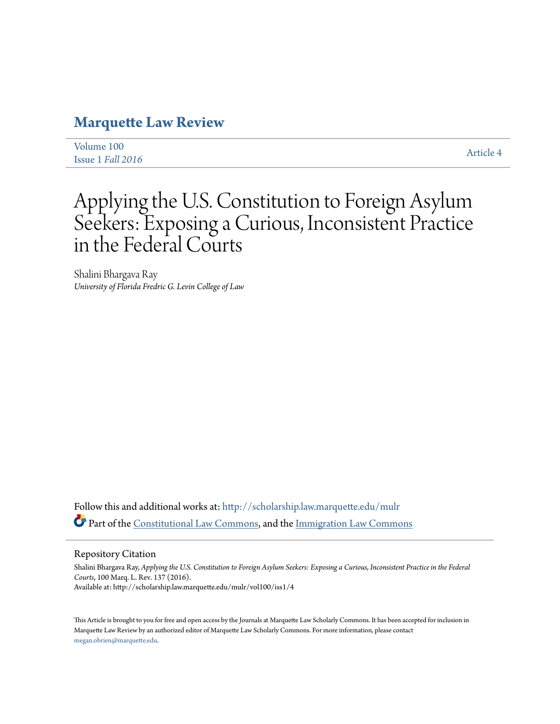# **[Marquette Law Review](http://scholarship.law.marquette.edu/mulr?utm_source=scholarship.law.marquette.edu%2Fmulr%2Fvol100%2Fiss1%2F4&utm_medium=PDF&utm_campaign=PDFCoverPages)**

| Volume 100        | <b>Article 4</b> |
|-------------------|------------------|
| Issue 1 Fall 2016 |                  |

# Applying the U.S. Constitution to Foreign Asylum Seekers: Exposing a Curious, Inconsistent Practice in the Federal Courts

Shalini Bhargava Ray *University of Florida Fredric G. Levin College of Law*

Follow this and additional works at: [http://scholarship.law.marquette.edu/mulr](http://scholarship.law.marquette.edu/mulr?utm_source=scholarship.law.marquette.edu%2Fmulr%2Fvol100%2Fiss1%2F4&utm_medium=PDF&utm_campaign=PDFCoverPages) Part of the [Constitutional Law Commons,](http://network.bepress.com/hgg/discipline/589?utm_source=scholarship.law.marquette.edu%2Fmulr%2Fvol100%2Fiss1%2F4&utm_medium=PDF&utm_campaign=PDFCoverPages) and the [Immigration Law Commons](http://network.bepress.com/hgg/discipline/604?utm_source=scholarship.law.marquette.edu%2Fmulr%2Fvol100%2Fiss1%2F4&utm_medium=PDF&utm_campaign=PDFCoverPages)

# Repository Citation

Shalini Bhargava Ray, *Applying the U.S. Constitution to Foreign Asylum Seekers: Exposing a Curious, Inconsistent Practice in the Federal Courts*, 100 Marq. L. Rev. 137 (2016). Available at: http://scholarship.law.marquette.edu/mulr/vol100/iss1/4

This Article is brought to you for free and open access by the Journals at Marquette Law Scholarly Commons. It has been accepted for inclusion in Marquette Law Review by an authorized editor of Marquette Law Scholarly Commons. For more information, please contact [megan.obrien@marquette.edu.](mailto:megan.obrien@marquette.edu)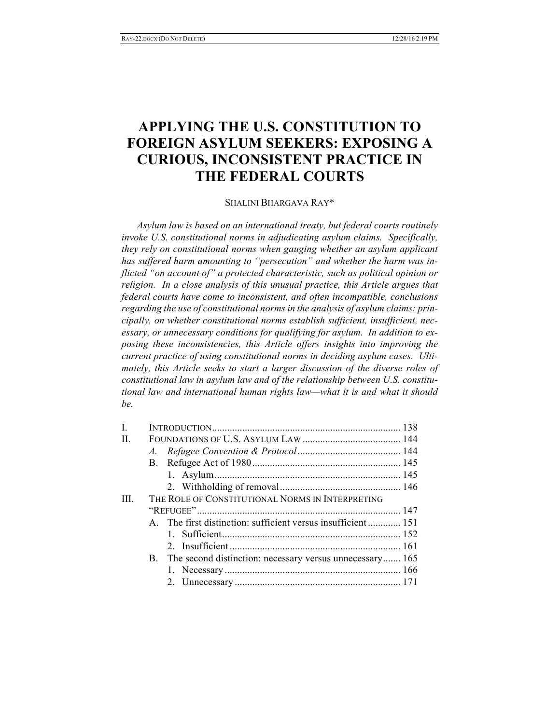# **APPLYING THE U.S. CONSTITUTION TO FOREIGN ASYLUM SEEKERS: EXPOSING A CURIOUS, INCONSISTENT PRACTICE IN THE FEDERAL COURTS**

# SHALINI BHARGAVA RAY\*

*Asylum law is based on an international treaty, but federal courts routinely invoke U.S. constitutional norms in adjudicating asylum claims. Specifically, they rely on constitutional norms when gauging whether an asylum applicant has suffered harm amounting to "persecution" and whether the harm was inflicted "on account of" a protected characteristic, such as political opinion or religion. In a close analysis of this unusual practice, this Article argues that federal courts have come to inconsistent, and often incompatible, conclusions regarding the use of constitutional norms in the analysis of asylum claims: principally, on whether constitutional norms establish sufficient, insufficient, necessary, or unnecessary conditions for qualifying for asylum. In addition to exposing these inconsistencies, this Article offers insights into improving the current practice of using constitutional norms in deciding asylum cases. Ulti*mately, this Article seeks to start a larger discussion of the diverse roles of *constitutional law in asylum law and of the relationship between U.S. constitutional law and international human rights law—what it is and what it should be.*

| L    |                                                               |  |
|------|---------------------------------------------------------------|--|
| Π.   |                                                               |  |
|      |                                                               |  |
|      |                                                               |  |
|      |                                                               |  |
|      |                                                               |  |
| III. | THE ROLE OF CONSTITUTIONAL NORMS IN INTERPRETING              |  |
|      |                                                               |  |
|      | A. The first distinction: sufficient versus insufficient  151 |  |
|      |                                                               |  |
|      |                                                               |  |
|      | B. The second distinction: necessary versus unnecessary 165   |  |
|      |                                                               |  |
|      |                                                               |  |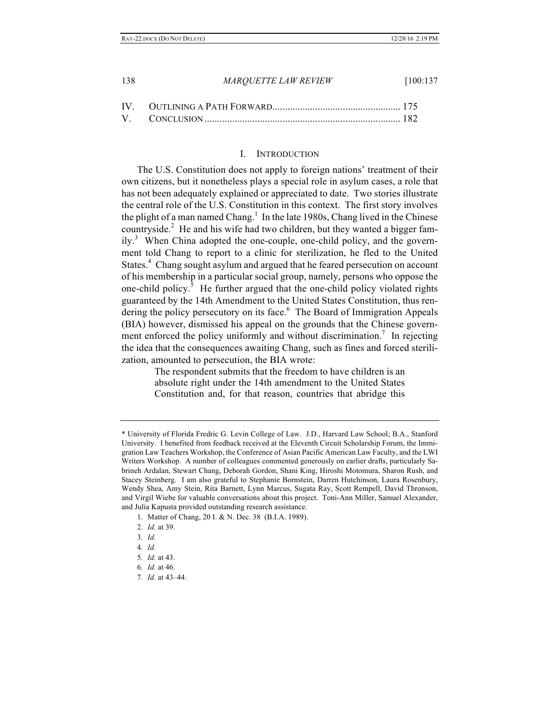#### I. INTRODUCTION

The U.S. Constitution does not apply to foreign nations' treatment of their own citizens, but it nonetheless plays a special role in asylum cases, a role that has not been adequately explained or appreciated to date. Two stories illustrate the central role of the U.S. Constitution in this context. The first story involves the plight of a man named Chang.<sup>1</sup> In the late 1980s, Chang lived in the Chinese countryside. $2$  He and his wife had two children, but they wanted a bigger family.<sup>3</sup> When China adopted the one-couple, one-child policy, and the government told Chang to report to a clinic for sterilization, he fled to the United States.<sup>4</sup> Chang sought asylum and argued that he feared persecution on account of his membership in a particular social group, namely, persons who oppose the one-child policy.<sup>5</sup> He further argued that the one-child policy violated rights guaranteed by the 14th Amendment to the United States Constitution, thus rendering the policy persecutory on its face.<sup>6</sup> The Board of Immigration Appeals (BIA) however, dismissed his appeal on the grounds that the Chinese government enforced the policy uniformly and without discrimination.<sup>7</sup> In rejecting the idea that the consequences awaiting Chang, such as fines and forced sterilization, amounted to persecution, the BIA wrote:

> The respondent submits that the freedom to have children is an absolute right under the 14th amendment to the United States Constitution and, for that reason, countries that abridge this

<sup>\*</sup> University of Florida Fredric G. Levin College of Law. J.D., Harvard Law School; B.A., Stanford University. I benefited from feedback received at the Eleventh Circuit Scholarship Forum, the Immigration Law Teachers Workshop, the Conference of Asian Pacific American Law Faculty, and the LWI Writers Workshop. A number of colleagues commented generously on earlier drafts, particularly Sabrineh Ardalan, Stewart Chang, Deborah Gordon, Shani King, Hiroshi Motomura, Sharon Rush, and Stacey Steinberg. I am also grateful to Stephanie Bornstein, Darren Hutchinson, Laura Rosenbury, Wendy Shea, Amy Stein, Rita Barnett, Lynn Marcus, Sugata Ray, Scott Rempell, David Thronson, and Virgil Wiebe for valuable conversations about this project. Toni-Ann Miller, Samuel Alexander, and Julia Kapusta provided outstanding research assistance.

<sup>1.</sup> Matter of Chang, 20 I. & N. Dec. 38 (B.I.A. 1989).

<sup>2</sup>*. Id.* at 39.

<sup>3</sup>*. Id.*

<sup>4</sup>*. Id.*

<sup>5</sup>*. Id.* at 43.

<sup>6</sup>*. Id.* at 46.

<sup>7</sup>*. Id.* at 43–44.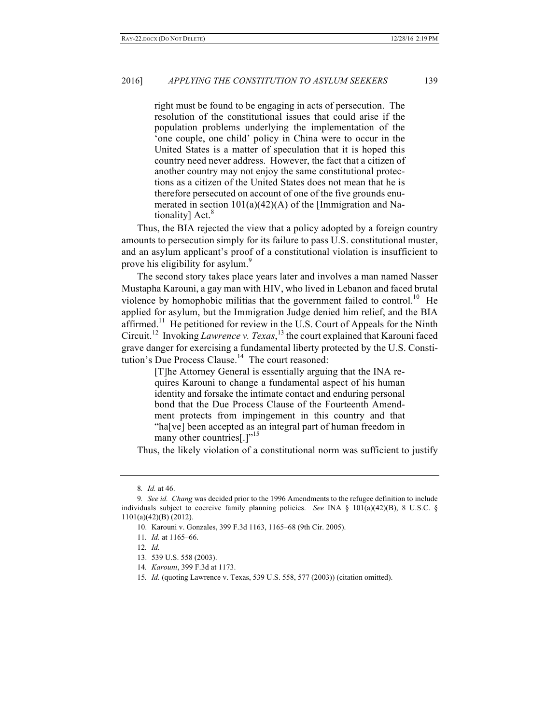right must be found to be engaging in acts of persecution. The resolution of the constitutional issues that could arise if the population problems underlying the implementation of the 'one couple, one child' policy in China were to occur in the United States is a matter of speculation that it is hoped this country need never address. However, the fact that a citizen of another country may not enjoy the same constitutional protections as a citizen of the United States does not mean that he is therefore persecuted on account of one of the five grounds enumerated in section  $101(a)(42)(A)$  of the [Immigration and Nationality]  $Act.<sup>8</sup>$ 

Thus, the BIA rejected the view that a policy adopted by a foreign country amounts to persecution simply for its failure to pass U.S. constitutional muster, and an asylum applicant's proof of a constitutional violation is insufficient to prove his eligibility for asylum.<sup>9</sup>

The second story takes place years later and involves a man named Nasser Mustapha Karouni, a gay man with HIV, who lived in Lebanon and faced brutal violence by homophobic militias that the government failed to control.<sup>10</sup> He applied for asylum, but the Immigration Judge denied him relief, and the BIA affirmed.<sup>11</sup> He petitioned for review in the U.S. Court of Appeals for the Ninth Circuit.12 Invoking *Lawrence v. Texas*, <sup>13</sup> the court explained that Karouni faced grave danger for exercising a fundamental liberty protected by the U.S. Constitution's Due Process Clause.<sup>14</sup> The court reasoned:

> [T]he Attorney General is essentially arguing that the INA requires Karouni to change a fundamental aspect of his human identity and forsake the intimate contact and enduring personal bond that the Due Process Clause of the Fourteenth Amendment protects from impingement in this country and that "ha[ve] been accepted as an integral part of human freedom in many other countries[.]"<sup>15</sup>

Thus, the likely violation of a constitutional norm was sufficient to justify

<sup>8</sup>*. Id.* at 46.

<sup>9</sup>*. See id. Chang* was decided prior to the 1996 Amendments to the refugee definition to include individuals subject to coercive family planning policies. *See* INA § 101(a)(42)(B), 8 U.S.C. § 1101(a)(42)(B) (2012).

<sup>10.</sup> Karouni v. Gonzales, 399 F.3d 1163, 1165–68 (9th Cir. 2005).

<sup>11</sup>*. Id.* at 1165–66.

<sup>12</sup>*. Id.*

<sup>13.</sup> 539 U.S. 558 (2003).

<sup>14</sup>*. Karouni*, 399 F.3d at 1173.

<sup>15</sup>*. Id.* (quoting Lawrence v. Texas, 539 U.S. 558, 577 (2003)) (citation omitted).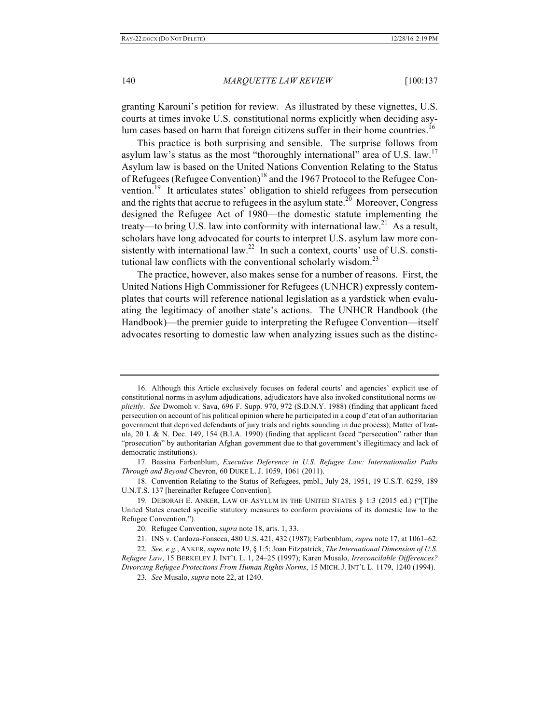granting Karouni's petition for review. As illustrated by these vignettes, U.S. courts at times invoke U.S. constitutional norms explicitly when deciding asylum cases based on harm that foreign citizens suffer in their home countries.<sup>16</sup>

This practice is both surprising and sensible. The surprise follows from asylum law's status as the most "thoroughly international" area of U.S. law.<sup>17</sup> Asylum law is based on the United Nations Convention Relating to the Status of Refugees (Refugee Convention)<sup>18</sup> and the 1967 Protocol to the Refugee Convention.<sup>19</sup> It articulates states' obligation to shield refugees from persecution and the rights that accrue to refugees in the asylum state.<sup>20</sup> Moreover, Congress designed the Refugee Act of 1980—the domestic statute implementing the treaty—to bring U.S. law into conformity with international law.<sup>21</sup> As a result, scholars have long advocated for courts to interpret U.S. asylum law more consistently with international law.<sup>22</sup> In such a context, courts' use of U.S. constitutional law conflicts with the conventional scholarly wisdom.<sup>23</sup>

The practice, however, also makes sense for a number of reasons. First, the United Nations High Commissioner for Refugees (UNHCR) expressly contemplates that courts will reference national legislation as a yardstick when evaluating the legitimacy of another state's actions. The UNHCR Handbook (the Handbook)—the premier guide to interpreting the Refugee Convention—itself advocates resorting to domestic law when analyzing issues such as the distinc-

18. Convention Relating to the Status of Refugees, pmbl., July 28, 1951, 19 U.S.T. 6259, 189 U.N.T.S. 137 [hereinafter Refugee Convention].

<sup>16.</sup> Although this Article exclusively focuses on federal courts' and agencies' explicit use of constitutional norms in asylum adjudications, adjudicators have also invoked constitutional norms *implicitly*. *See* Dwomoh v. Sava, 696 F. Supp. 970, 972 (S.D.N.Y. 1988) (finding that applicant faced persecution on account of his political opinion where he participated in a coup d'etat of an authoritarian government that deprived defendants of jury trials and rights sounding in due process); Matter of Izatula, 20 I. & N. Dec. 149, 154 (B.I.A. 1990) (finding that applicant faced "persecution" rather than "prosecution" by authoritarian Afghan government due to that government's illegitimacy and lack of democratic institutions).

<sup>17.</sup> Bassina Farbenblum, *Executive Deference in U.S. Refugee Law: Internationalist Paths Through and Beyond* Chevron, 60 DUKE L. J. 1059, 1061 (2011).

<sup>19.</sup> DEBORAH E. ANKER, LAW OF ASYLUM IN THE UNITED STATES § 1:3 (2015 ed.) ("[T]he United States enacted specific statutory measures to conform provisions of its domestic law to the Refugee Convention.").

<sup>20.</sup> Refugee Convention, *supra* note 18, arts. 1, 33.

<sup>21.</sup> INS v. Cardoza-Fonseca, 480 U.S. 421, 432 (1987); Farbenblum, *supra* note 17, at 1061–62.

<sup>22</sup>*. See, e.g.*, ANKER, *supra* note 19, § 1:5; Joan Fitzpatrick, *The International Dimension of U.S. Refugee Law*, 15 BERKELEY J. INT'L L. 1, 24–25 (1997); Karen Musalo, *Irreconcilable Differences? Divorcing Refugee Protections From Human Rights Norms*, 15 MICH. J. INT'L L. 1179, 1240 (1994).

<sup>23</sup>*. See* Musalo, *supra* note 22, at 1240.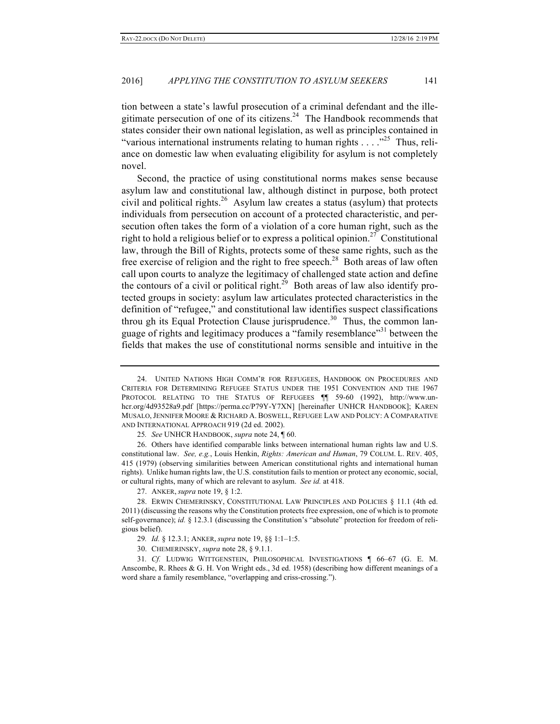tion between a state's lawful prosecution of a criminal defendant and the illegitimate persecution of one of its citizens.<sup>24</sup> The Handbook recommends that states consider their own national legislation, as well as principles contained in "various international instruments relating to human rights  $\dots$  ."<sup>25</sup> Thus, reliance on domestic law when evaluating eligibility for asylum is not completely novel.

Second, the practice of using constitutional norms makes sense because asylum law and constitutional law, although distinct in purpose, both protect civil and political rights.<sup>26</sup> Asylum law creates a status (asylum) that protects individuals from persecution on account of a protected characteristic, and persecution often takes the form of a violation of a core human right, such as the right to hold a religious belief or to express a political opinion.<sup>27</sup> Constitutional law, through the Bill of Rights, protects some of these same rights, such as the free exercise of religion and the right to free speech.<sup>28</sup> Both areas of law often call upon courts to analyze the legitimacy of challenged state action and define the contours of a civil or political right.<sup>29</sup> Both areas of law also identify protected groups in society: asylum law articulates protected characteristics in the definition of "refugee," and constitutional law identifies suspect classifications throu gh its Equal Protection Clause jurisprudence.<sup>30</sup> Thus, the common language of rights and legitimacy produces a "family resemblance"<sup>31</sup> between the fields that makes the use of constitutional norms sensible and intuitive in the

<sup>24.</sup> UNITED NATIONS HIGH COMM'R FOR REFUGEES, HANDBOOK ON PROCEDURES AND CRITERIA FOR DETERMINING REFUGEE STATUS UNDER THE 1951 CONVENTION AND THE 1967 PROTOCOL RELATING TO THE STATUS OF REFUGEES ¶¶ 59-60 (1992), http://www.unhcr.org/4d93528a9.pdf [https://perma.cc/P79Y-Y7XN] [hereinafter UNHCR HANDBOOK]; KAREN MUSALO,JENNIFER MOORE & RICHARD A. BOSWELL, REFUGEE LAW AND POLICY: A COMPARATIVE AND INTERNATIONAL APPROACH 919 (2d ed. 2002).

<sup>25</sup>*. See* UNHCR HANDBOOK, *supra* note 24, ¶ 60.

<sup>26.</sup> Others have identified comparable links between international human rights law and U.S. constitutional law. *See, e.g.*, Louis Henkin, *Rights: American and Human*, 79 COLUM. L. REV. 405, 415 (1979) (observing similarities between American constitutional rights and international human rights). Unlike human rights law, the U.S. constitution fails to mention or protect any economic, social, or cultural rights, many of which are relevant to asylum. *See id.* at 418.

<sup>27.</sup> ANKER, *supra* note 19, § 1:2.

<sup>28.</sup> ERWIN CHEMERINSKY, CONSTITUTIONAL LAW PRINCIPLES AND POLICIES § 11.1 (4th ed. 2011) (discussing the reasons why the Constitution protects free expression, one of which is to promote self-governance); *id.* § 12.3.1 (discussing the Constitution's "absolute" protection for freedom of religious belief).

<sup>29</sup>*. Id.* § 12.3.1; ANKER, *supra* note 19, §§ 1:1–1:5.

<sup>30.</sup> CHEMERINSKY, *supra* note 28, § 9.1.1.

<sup>31</sup>*. Cf.* LUDWIG WITTGENSTEIN, PHILOSOPHICAL INVESTIGATIONS ¶ 66–67 (G. E. M. Anscombe, R. Rhees & G. H. Von Wright eds., 3d ed. 1958) (describing how different meanings of a word share a family resemblance, "overlapping and criss-crossing.").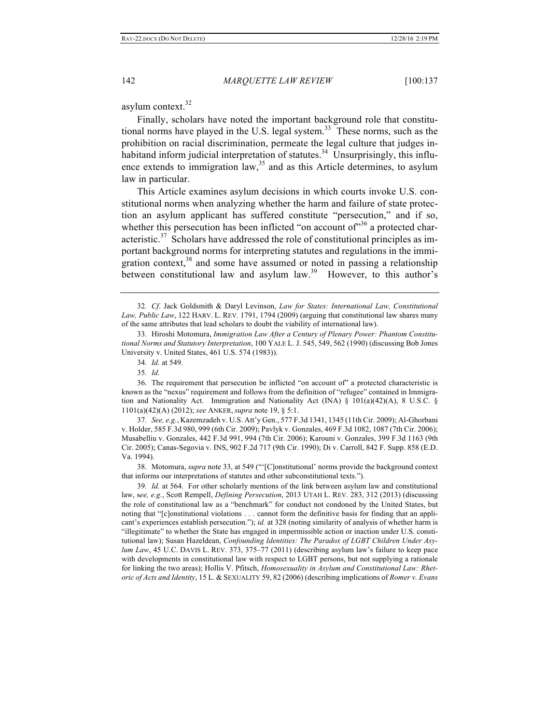asylum context.<sup>32</sup>

Finally, scholars have noted the important background role that constitutional norms have played in the U.S. legal system.<sup>33</sup> These norms, such as the prohibition on racial discrimination, permeate the legal culture that judges inhabitand inform judicial interpretation of statutes.<sup>34</sup> Unsurprisingly, this influence extends to immigration  $law<sub>35</sub><sup>35</sup>$  and as this Article determines, to asylum law in particular.

This Article examines asylum decisions in which courts invoke U.S. constitutional norms when analyzing whether the harm and failure of state protection an asylum applicant has suffered constitute "persecution," and if so, whether this persecution has been inflicted "on account of  $10^{336}$  a protected characteristic.<sup>37</sup> Scholars have addressed the role of constitutional principles as important background norms for interpreting statutes and regulations in the immigration context,  $38$  and some have assumed or noted in passing a relationship between constitutional law and asylum  $law<sup>39</sup>$ . However, to this author's

<sup>32</sup>*. Cf*. Jack Goldsmith & Daryl Levinson, *Law for States: International Law, Constitutional Law, Public Law*, 122 HARV. L. REV. 1791, 1794 (2009) (arguing that constitutional law shares many of the same attributes that lead scholars to doubt the viability of international law).

<sup>33.</sup> Hiroshi Motomura, *Immigration Law After a Century of Plenary Power: Phantom Constitutional Norms and Statutory Interpretation*, 100 YALE L. J. 545, 549, 562 (1990) (discussing Bob Jones University v. United States, 461 U.S. 574 (1983)).

<sup>34</sup>*. Id.* at 549.

<sup>35</sup>*. Id.*

<sup>36.</sup> The requirement that persecution be inflicted "on account of" a protected characteristic is known as the "nexus" requirement and follows from the definition of "refugee" contained in Immigration and Nationality Act. Immigration and Nationality Act (INA)  $\S$  101(a)(42)(A), 8 U.S.C.  $\S$ 1101(a)(42)(A) (2012); *see* ANKER, *supra* note 19, § 5:1.

<sup>37</sup>*. See, e.g.*, Kazemzadeh v. U.S. Att'y Gen*.*, 577 F.3d 1341, 1345 (11th Cir. 2009); Al-Ghorbani v. Holder, 585 F.3d 980, 999 (6th Cir. 2009); Pavlyk v. Gonzales, 469 F.3d 1082, 1087 (7th Cir. 2006); Musabelliu v. Gonzales, 442 F.3d 991, 994 (7th Cir. 2006); Karouni v. Gonzales, 399 F.3d 1163 (9th Cir. 2005); Canas-Segovia v. INS, 902 F.2d 717 (9th Cir. 1990); Di v. Carroll, 842 F. Supp. 858 (E.D. Va. 1994).

<sup>38.</sup> Motomura, *supra* note 33, at 549 ("'[C]onstitutional' norms provide the background context that informs our interpretations of statutes and other subconstitutional texts.").

<sup>39</sup>*. Id.* at 564. For other scholarly mentions of the link between asylum law and constitutional law, s*ee, e.g.*, Scott Rempell, *Defining Persecution*, 2013 UTAH L. REV. 283, 312 (2013) (discussing the role of constitutional law as a "benchmark" for conduct not condoned by the United States, but noting that "[c]onstitutional violations . . . cannot form the definitive basis for finding that an applicant's experiences establish persecution."); *id.* at 328 (noting similarity of analysis of whether harm is "illegitimate" to whether the State has engaged in impermissible action or inaction under U.S. constitutional law); Susan Hazeldean, *Confounding Identities: The Paradox of LGBT Children Under Asylum Law*, 45 U.C. DAVIS L. REV. 373, 375–77 (2011) (describing asylum law's failure to keep pace with developments in constitutional law with respect to LGBT persons, but not supplying a rationale for linking the two areas); Hollis V. Pfitsch, *Homosexuality in Asylum and Constitutional Law: Rhetoric of Acts and Identity*, 15 L. & SEXUALITY 59, 82 (2006) (describing implications of *Romer v. Evans*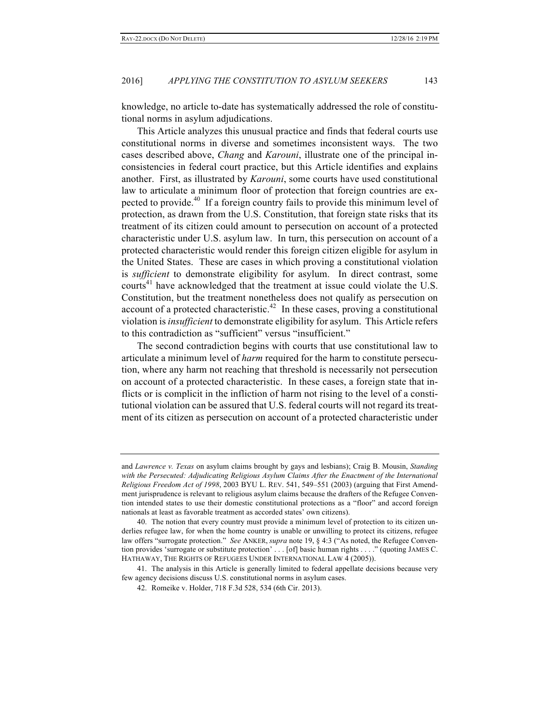knowledge, no article to-date has systematically addressed the role of constitutional norms in asylum adjudications.

This Article analyzes this unusual practice and finds that federal courts use constitutional norms in diverse and sometimes inconsistent ways. The two cases described above, *Chang* and *Karouni*, illustrate one of the principal inconsistencies in federal court practice, but this Article identifies and explains another. First, as illustrated by *Karouni*, some courts have used constitutional law to articulate a minimum floor of protection that foreign countries are expected to provide.<sup>40</sup> If a foreign country fails to provide this minimum level of protection, as drawn from the U.S. Constitution, that foreign state risks that its treatment of its citizen could amount to persecution on account of a protected characteristic under U.S. asylum law. In turn, this persecution on account of a protected characteristic would render this foreign citizen eligible for asylum in the United States. These are cases in which proving a constitutional violation is *sufficient* to demonstrate eligibility for asylum. In direct contrast, some courts<sup>41</sup> have acknowledged that the treatment at issue could violate the U.S. Constitution, but the treatment nonetheless does not qualify as persecution on account of a protected characteristic.<sup>42</sup> In these cases, proving a constitutional violation is *insufficient* to demonstrate eligibility for asylum. This Article refers to this contradiction as "sufficient" versus "insufficient."

The second contradiction begins with courts that use constitutional law to articulate a minimum level of *harm* required for the harm to constitute persecution, where any harm not reaching that threshold is necessarily not persecution on account of a protected characteristic. In these cases, a foreign state that inflicts or is complicit in the infliction of harm not rising to the level of a constitutional violation can be assured that U.S. federal courts will not regard its treatment of its citizen as persecution on account of a protected characteristic under

and *Lawrence v. Texas* on asylum claims brought by gays and lesbians); Craig B. Mousin, *Standing*  with the Persecuted: Adjudicating Religious Asylum Claims After the Enactment of the International *Religious Freedom Act of 1998*, 2003 BYU L. REV. 541, 549–551 (2003) (arguing that First Amendment jurisprudence is relevant to religious asylum claims because the drafters of the Refugee Convention intended states to use their domestic constitutional protections as a "floor" and accord foreign nationals at least as favorable treatment as accorded states' own citizens).

<sup>40.</sup> The notion that every country must provide a minimum level of protection to its citizen underlies refugee law, for when the home country is unable or unwilling to protect its citizens, refugee law offers "surrogate protection." *See* ANKER, *supra* note 19, § 4:3 ("As noted, the Refugee Convention provides 'surrogate or substitute protection' . . . [of] basic human rights . . . ." (quoting JAMES C. HATHAWAY, THE RIGHTS OF REFUGEES UNDER INTERNATIONAL LAW 4 (2005)).

<sup>41.</sup> The analysis in this Article is generally limited to federal appellate decisions because very few agency decisions discuss U.S. constitutional norms in asylum cases.

<sup>42.</sup> Romeike v. Holder, 718 F.3d 528, 534 (6th Cir. 2013).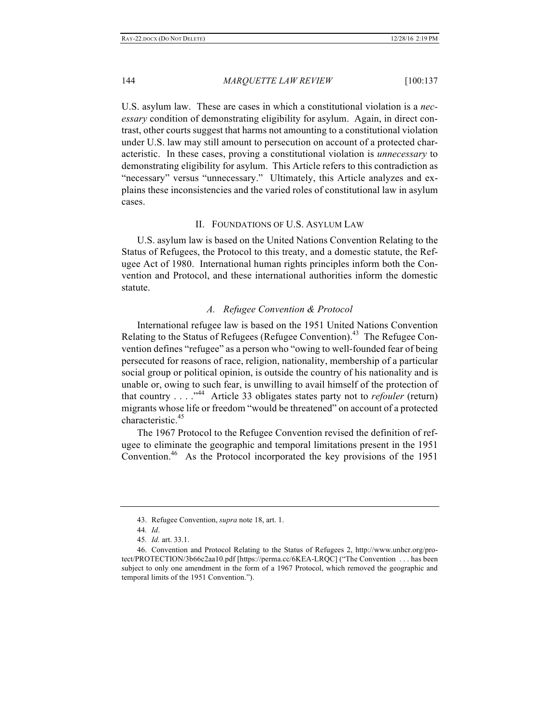U.S. asylum law. These are cases in which a constitutional violation is a *necessary* condition of demonstrating eligibility for asylum. Again, in direct contrast, other courts suggest that harms not amounting to a constitutional violation under U.S. law may still amount to persecution on account of a protected characteristic. In these cases, proving a constitutional violation is *unnecessary* to demonstrating eligibility for asylum. This Article refers to this contradiction as "necessary" versus "unnecessary." Ultimately, this Article analyzes and explains these inconsistencies and the varied roles of constitutional law in asylum cases.

## II. FOUNDATIONS OF U.S. ASYLUM LAW

U.S. asylum law is based on the United Nations Convention Relating to the Status of Refugees, the Protocol to this treaty, and a domestic statute, the Refugee Act of 1980. International human rights principles inform both the Convention and Protocol, and these international authorities inform the domestic statute.

## *A. Refugee Convention & Protocol*

International refugee law is based on the 1951 United Nations Convention Relating to the Status of Refugees (Refugee Convention).<sup>43</sup> The Refugee Convention defines "refugee" as a person who "owing to well-founded fear of being persecuted for reasons of race, religion, nationality, membership of a particular social group or political opinion, is outside the country of his nationality and is unable or, owing to such fear, is unwilling to avail himself of the protection of that country . . . ." 44 Article 33 obligates states party not to *refouler* (return) migrants whose life or freedom "would be threatened" on account of a protected characteristic.<sup>45</sup>

The 1967 Protocol to the Refugee Convention revised the definition of refugee to eliminate the geographic and temporal limitations present in the 1951 Convention.46 As the Protocol incorporated the key provisions of the 1951

<sup>43.</sup> Refugee Convention, *supra* note 18, art. 1.

<sup>44</sup>*. Id*.

<sup>45</sup>*. Id.* art. 33.1.

<sup>46.</sup> Convention and Protocol Relating to the Status of Refugees 2, http://www.unhcr.org/protect/PROTECTION/3b66c2aa10.pdf [https://perma.cc/6KEA-LRQC] ("The Convention . . . has been subject to only one amendment in the form of a 1967 Protocol, which removed the geographic and temporal limits of the 1951 Convention.").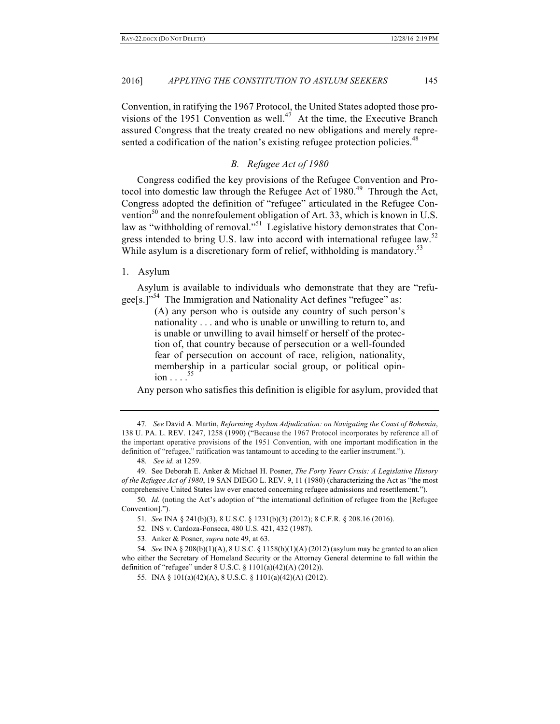Convention, in ratifying the 1967 Protocol, the United States adopted those provisions of the 1951 Convention as well.<sup>47</sup> At the time, the Executive Branch assured Congress that the treaty created no new obligations and merely represented a codification of the nation's existing refugee protection policies.<sup>48</sup>

#### *B. Refugee Act of 1980*

Congress codified the key provisions of the Refugee Convention and Protocol into domestic law through the Refugee Act of  $1980<sup>49</sup>$  Through the Act, Congress adopted the definition of "refugee" articulated in the Refugee Convention<sup>50</sup> and the nonrefoulement obligation of Art. 33, which is known in U.S. law as "withholding of removal."<sup>51</sup> Legislative history demonstrates that Congress intended to bring U.S. law into accord with international refugee law.<sup>52</sup> While asylum is a discretionary form of relief, withholding is mandatory.<sup>53</sup>

#### 1. Asylum

Asylum is available to individuals who demonstrate that they are "refugee[s.]"<sup>54</sup> The Immigration and Nationality Act defines "refugee" as:

> (A) any person who is outside any country of such person's nationality . . . and who is unable or unwilling to return to, and is unable or unwilling to avail himself or herself of the protection of, that country because of persecution or a well-founded fear of persecution on account of race, religion, nationality, membership in a particular social group, or political opinion . . . . 55

Any person who satisfies this definition is eligible for asylum, provided that

<sup>47</sup>*. See* David A. Martin, *Reforming Asylum Adjudication: on Navigating the Coast of Bohemia*, 138 U. PA. L. REV. 1247, 1258 (1990) ("Because the 1967 Protocol incorporates by reference all of the important operative provisions of the 1951 Convention, with one important modification in the definition of "refugee," ratification was tantamount to acceding to the earlier instrument.").

<sup>48</sup>*. See id.* at 1259.

<sup>49.</sup> See Deborah E. Anker & Michael H. Posner, *The Forty Years Crisis: A Legislative History of the Refugee Act of 1980*, 19 SAN DIEGO L. REV. 9, 11 (1980) (characterizing the Act as "the most comprehensive United States law ever enacted concerning refugee admissions and resettlement.").

<sup>50</sup>*. Id.* (noting the Act's adoption of "the international definition of refugee from the [Refugee Convention].").

<sup>51</sup>*. See* INA § 241(b)(3), 8 U.S.C. § 1231(b)(3) (2012); 8 C.F.R. § 208.16 (2016).

<sup>52.</sup> INS v. Cardoza-Fonseca, 480 U.S. 421, 432 (1987).

<sup>53.</sup> Anker & Posner, *supra* note 49, at 63.

<sup>54</sup>*. See* INA § 208(b)(1)(A), 8 U.S.C. § 1158(b)(1)(A) (2012) (asylum may be granted to an alien who either the Secretary of Homeland Security or the Attorney General determine to fall within the definition of "refugee" under 8 U.S.C. § 1101(a)(42)(A) (2012)).

<sup>55.</sup> INA § 101(a)(42)(A), 8 U.S.C. § 1101(a)(42)(A) (2012).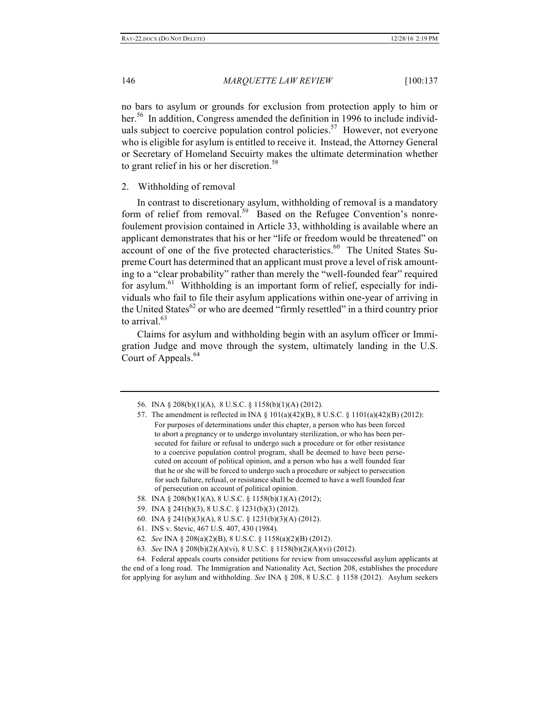no bars to asylum or grounds for exclusion from protection apply to him or her.<sup>56</sup> In addition, Congress amended the definition in 1996 to include individuals subject to coercive population control policies.<sup>57</sup> However, not everyone who is eligible for asylum is entitled to receive it. Instead, the Attorney General or Secretary of Homeland Secuirty makes the ultimate determination whether to grant relief in his or her discretion.<sup>58</sup>

#### 2. Withholding of removal

In contrast to discretionary asylum, withholding of removal is a mandatory form of relief from removal.<sup>59</sup> Based on the Refugee Convention's nonrefoulement provision contained in Article 33, withholding is available where an applicant demonstrates that his or her "life or freedom would be threatened" on account of one of the five protected characteristics.<sup>60</sup> The United States Supreme Court has determined that an applicant must prove a level of risk amounting to a "clear probability" rather than merely the "well-founded fear" required for asylum.<sup>61</sup> Withholding is an important form of relief, especially for individuals who fail to file their asylum applications within one-year of arriving in the United States<sup>62</sup> or who are deemed "firmly resettled" in a third country prior to arrival. $63$ 

Claims for asylum and withholding begin with an asylum officer or Immigration Judge and move through the system, ultimately landing in the U.S. Court of Appeals.<sup>64</sup>

- 59. INA § 241(b)(3), 8 U.S.C. § 1231(b)(3) (2012).
- 60. INA § 241(b)(3)(A), 8 U.S.C. § 1231(b)(3)(A) (2012).
- 61. INS v. Stevic, 467 U.S. 407, 430 (1984).
- 62*. See* INA § 208(a)(2)(B), 8 U.S.C. § 1158(a)(2)(B) (2012).
- 63*. See* INA § 208(b)(2)(A)(vi), 8 U.S.C. § 1158(b)(2)(A)(vi) (2012).

64. Federal appeals courts consider petitions for review from unsuccessful asylum applicants at the end of a long road. The Immigration and Nationality Act, Section 208, establishes the procedure for applying for asylum and withholding. *See* INA § 208, 8 U.S.C. § 1158 (2012). Asylum seekers

<sup>56.</sup> INA § 208(b)(1)(A), 8 U.S.C. § 1158(b)(1)(A) (2012).

<sup>57.</sup> The amendment is reflected in INA  $\S$  101(a)(42)(B), 8 U.S.C.  $\S$  1101(a)(42)(B) (2012): For purposes of determinations under this chapter, a person who has been forced to abort a pregnancy or to undergo involuntary sterilization, or who has been persecuted for failure or refusal to undergo such a procedure or for other resistance to a coercive population control program, shall be deemed to have been persecuted on account of political opinion, and a person who has a well founded fear that he or she will be forced to undergo such a procedure or subject to persecution for such failure, refusal, or resistance shall be deemed to have a well founded fear of persecution on account of political opinion.

<sup>58.</sup> INA § 208(b)(1)(A), 8 U.S.C. § 1158(b)(1)(A) (2012);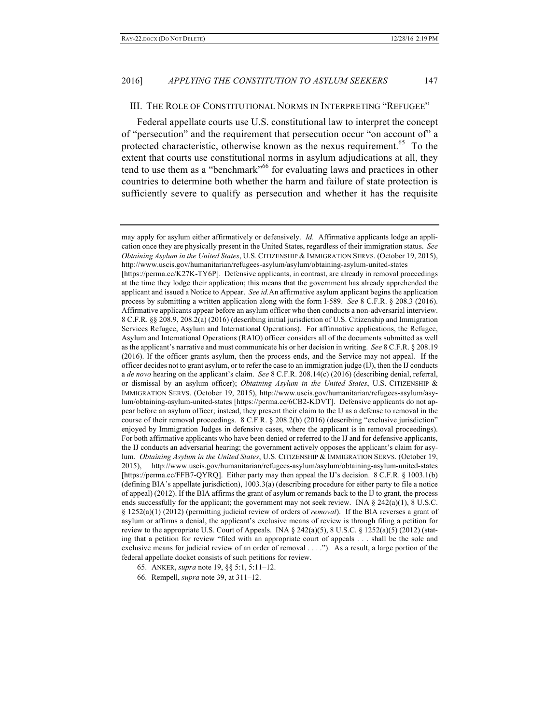#### III. THE ROLE OF CONSTITUTIONAL NORMS IN INTERPRETING "REFUGEE"

Federal appellate courts use U.S. constitutional law to interpret the concept of "persecution" and the requirement that persecution occur "on account of" a protected characteristic, otherwise known as the nexus requirement.<sup>65</sup> To the extent that courts use constitutional norms in asylum adjudications at all, they tend to use them as a "benchmark"<sup>66</sup> for evaluating laws and practices in other countries to determine both whether the harm and failure of state protection is sufficiently severe to qualify as persecution and whether it has the requisite

- 65. ANKER, *supra* note 19, §§ 5:1, 5:11–12.
- 66. Rempell, *supra* note 39, at 311–12.

may apply for asylum either affirmatively or defensively. *Id.* Affirmative applicants lodge an application once they are physically present in the United States, regardless of their immigration status. *See Obtaining Asylum in the United States*, U.S. CITIZENSHIP & IMMIGRATION SERVS. (October 19, 2015), http://www.uscis.gov/humanitarian/refugees-asylum/asylum/obtaining-asylum-united-states

<sup>[</sup>https://perma.cc/K27K-TY6P]. Defensive applicants, in contrast, are already in removal proceedings at the time they lodge their application; this means that the government has already apprehended the applicant and issued a Notice to Appear. *See id.*An affirmative asylum applicant begins the application process by submitting a written application along with the form I-589. *See* 8 C.F.R. § 208.3 (2016). Affirmative applicants appear before an asylum officer who then conducts a non-adversarial interview. 8 C.F.R. §§ 208.9, 208.2(a) (2016) (describing initial jurisdiction of U.S. Citizenship and Immigration Services Refugee, Asylum and International Operations). For affirmative applications, the Refugee, Asylum and International Operations (RAIO) officer considers all of the documents submitted as well as the applicant's narrative and must communicate his or her decision in writing. *See* 8 C.F.R. § 208.19 (2016). If the officer grants asylum, then the process ends, and the Service may not appeal. If the officer decides not to grant asylum, or to refer the case to an immigration judge (IJ), then the IJ conducts a *de novo* hearing on the applicant's claim. *See* 8 C.F.R. 208.14(c) (2016) (describing denial, referral, or dismissal by an asylum officer); *Obtaining Asylum in the United States*, U.S. CITIZENSHIP & IMMIGRATION SERVS. (October 19, 2015), http://www.uscis.gov/humanitarian/refugees-asylum/asylum/obtaining-asylum-united-states [https://perma.cc/6CB2-KDVT]. Defensive applicants do not appear before an asylum officer; instead, they present their claim to the IJ as a defense to removal in the course of their removal proceedings. 8 C.F.R. § 208.2(b) (2016) (describing "exclusive jurisdiction" enjoyed by Immigration Judges in defensive cases, where the applicant is in removal proceedings). For both affirmative applicants who have been denied or referred to the IJ and for defensive applicants, the IJ conducts an adversarial hearing; the government actively opposes the applicant's claim for asylum. *Obtaining Asylum in the United States*, U.S. CITIZENSHIP & IMMIGRATION SERVS. (October 19, 2015), http://www.uscis.gov/humanitarian/refugees-asylum/asylum/obtaining-asylum-united-states [https://perma.cc/FFB7-QYRQ]. Either party may then appeal the IJ's decision. 8 C.F.R. § 1003.1(b) (defining BIA's appellate jurisdiction), 1003.3(a) (describing procedure for either party to file a notice of appeal) (2012). If the BIA affirms the grant of asylum or remands back to the IJ to grant, the process ends successfully for the applicant; the government may not seek review. INA  $\S$  242(a)(1), 8 U.S.C. § 1252(a)(1) (2012) (permitting judicial review of orders of *removal*). If the BIA reverses a grant of asylum or affirms a denial, the applicant's exclusive means of review is through filing a petition for review to the appropriate U.S. Court of Appeals. INA § 242(a)(5), 8 U.S.C. § 1252(a)(5) (2012) (stating that a petition for review "filed with an appropriate court of appeals . . . shall be the sole and exclusive means for judicial review of an order of removal . . . ."). As a result, a large portion of the federal appellate docket consists of such petitions for review.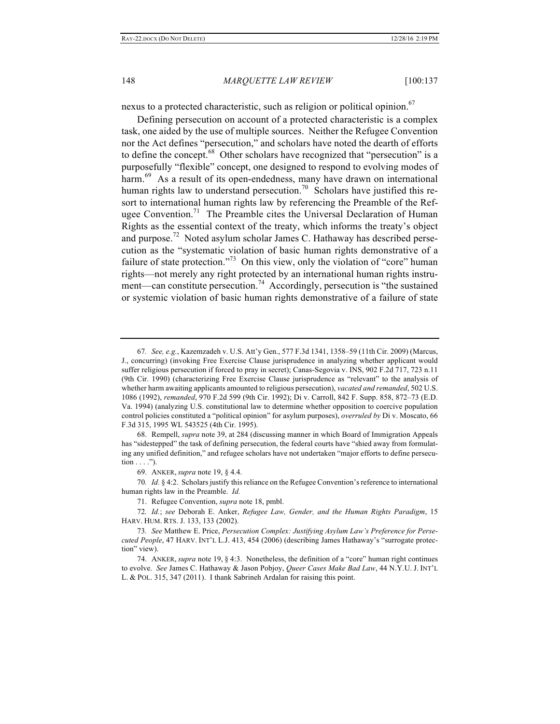nexus to a protected characteristic, such as religion or political opinion.<sup>67</sup>

Defining persecution on account of a protected characteristic is a complex task, one aided by the use of multiple sources. Neither the Refugee Convention nor the Act defines "persecution," and scholars have noted the dearth of efforts to define the concept.<sup>68</sup> Other scholars have recognized that "persecution" is a purposefully "flexible" concept, one designed to respond to evolving modes of harm.<sup>69</sup> As a result of its open-endedness, many have drawn on international human rights law to understand persecution.<sup>70</sup> Scholars have justified this resort to international human rights law by referencing the Preamble of the Refugee Convention.<sup>71</sup> The Preamble cites the Universal Declaration of Human Rights as the essential context of the treaty, which informs the treaty's object and purpose.<sup>72</sup> Noted asylum scholar James C. Hathaway has described persecution as the "systematic violation of basic human rights demonstrative of a failure of state protection."<sup>73</sup> On this view, only the violation of "core" human rights—not merely any right protected by an international human rights instrument—can constitute persecution.<sup>74</sup> Accordingly, persecution is "the sustained" or systemic violation of basic human rights demonstrative of a failure of state

69. ANKER, *supra* note 19, § 4.4.

70*. Id.* § 4:2. Scholars justify this reliance on the Refugee Convention's reference to international human rights law in the Preamble. *Id.*

71. Refugee Convention, *supra* note 18, pmbl.

72*. Id.*; *see* Deborah E. Anker, *Refugee Law, Gender, and the Human Rights Paradigm*, 15 HARV. HUM. RTS. J. 133, 133 (2002).

<sup>67</sup>*. See, e.g.*, Kazemzadeh v. U.S. Att'y Gen., 577 F.3d 1341, 1358–59 (11th Cir. 2009) (Marcus, J., concurring) (invoking Free Exercise Clause jurisprudence in analyzing whether applicant would suffer religious persecution if forced to pray in secret); Canas-Segovia v. INS, 902 F.2d 717, 723 n.11 (9th Cir. 1990) (characterizing Free Exercise Clause jurisprudence as "relevant" to the analysis of whether harm awaiting applicants amounted to religious persecution), *vacated and remanded*, 502 U.S. 1086 (1992), *remanded*, 970 F.2d 599 (9th Cir. 1992); Di v. Carroll, 842 F. Supp. 858, 872–73 (E.D. Va. 1994) (analyzing U.S. constitutional law to determine whether opposition to coercive population control policies constituted a "political opinion" for asylum purposes), *overruled by* Di v. Moscato, 66 F.3d 315, 1995 WL 543525 (4th Cir. 1995).

<sup>68.</sup> Rempell, *supra* note 39, at 284 (discussing manner in which Board of Immigration Appeals has "sidestepped" the task of defining persecution, the federal courts have "shied away from formulating any unified definition," and refugee scholars have not undertaken "major efforts to define persecu- $\text{tion} \dots$ ").

<sup>73</sup>*. See* Matthew E. Price, *Persecution Complex: Justifying Asylum Law's Preference for Persecuted People*, 47 HARV. INT'L L.J. 413, 454 (2006) (describing James Hathaway's "surrogate protection" view).

<sup>74.</sup> ANKER, *supra* note 19, § 4:3. Nonetheless, the definition of a "core" human right continues to evolve. *See* James C. Hathaway & Jason Pobjoy, *Queer Cases Make Bad Law*, 44 N.Y.U. J. INT'L L. & POL. 315, 347 (2011). I thank Sabrineh Ardalan for raising this point.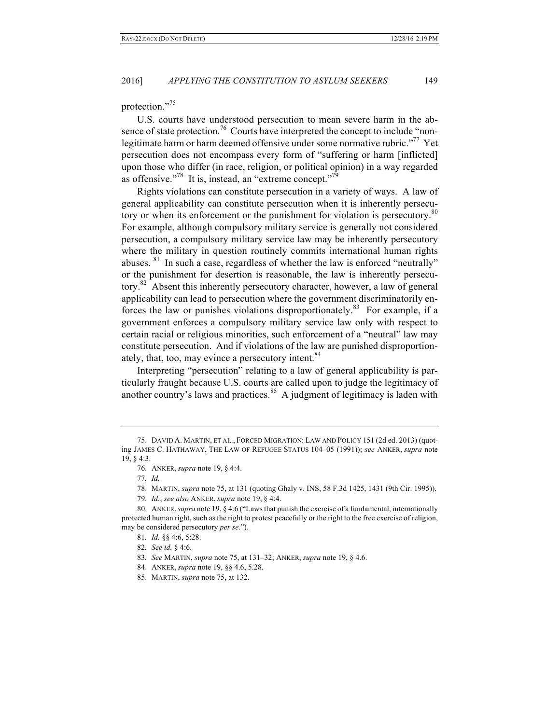protection."<sup>75</sup>

U.S. courts have understood persecution to mean severe harm in the absence of state protection.<sup>76</sup> Courts have interpreted the concept to include "nonlegitimate harm or harm deemed offensive under some normative rubric."<sup>77</sup> Yet persecution does not encompass every form of "suffering or harm [inflicted] upon those who differ (in race, religion, or political opinion) in a way regarded as offensive."<sup>78</sup> It is, instead, an "extreme concept."<sup>79</sup>

Rights violations can constitute persecution in a variety of ways. A law of general applicability can constitute persecution when it is inherently persecutory or when its enforcement or the punishment for violation is persecutory.<sup>80</sup> For example, although compulsory military service is generally not considered persecution, a compulsory military service law may be inherently persecutory where the military in question routinely commits international human rights abuses. <sup>81</sup> In such a case, regardless of whether the law is enforced "neutrally" or the punishment for desertion is reasonable, the law is inherently persecutory.<sup>82</sup> Absent this inherently persecutory character, however, a law of general applicability can lead to persecution where the government discriminatorily enforces the law or punishes violations disproportionately.<sup>83</sup> For example, if a government enforces a compulsory military service law only with respect to certain racial or religious minorities, such enforcement of a "neutral" law may constitute persecution. And if violations of the law are punished disproportionately, that, too, may evince a persecutory intent.<sup>84</sup>

Interpreting "persecution" relating to a law of general applicability is particularly fraught because U.S. courts are called upon to judge the legitimacy of another country's laws and practices.<sup>85</sup> A judgment of legitimacy is laden with

<sup>75.</sup> DAVID A. MARTIN, ET AL., FORCED MIGRATION: LAW AND POLICY 151 (2d ed. 2013) (quoting JAMES C. HATHAWAY, THE LAW OF REFUGEE STATUS 104–05 (1991)); *see* ANKER, *supra* note 19, § 4:3.

<sup>76.</sup> ANKER, *supra* note 19, § 4:4.

<sup>77</sup>*. Id.*

<sup>78.</sup> MARTIN, *supra* note 75, at 131 (quoting Ghaly v. INS, 58 F.3d 1425, 1431 (9th Cir. 1995)).

<sup>79</sup>*. Id.*; *see also* ANKER, *supra* note 19, § 4:4.

<sup>80.</sup> ANKER,*supra* note 19, § 4:6 ("Laws that punish the exercise of a fundamental, internationally protected human right, such as the right to protest peacefully or the right to the free exercise of religion, may be considered persecutory *per se*.").

<sup>81</sup>*. Id.* §§ 4:6, 5:28.

<sup>82</sup>*. See id.* § 4:6.

<sup>83</sup>*. See* MARTIN, *supra* note 75, at 131–32; ANKER, *supra* note 19, § 4.6.

<sup>84.</sup> ANKER, *supra* note 19, §§ 4.6, 5.28.

<sup>85.</sup> MARTIN, *supra* note 75, at 132.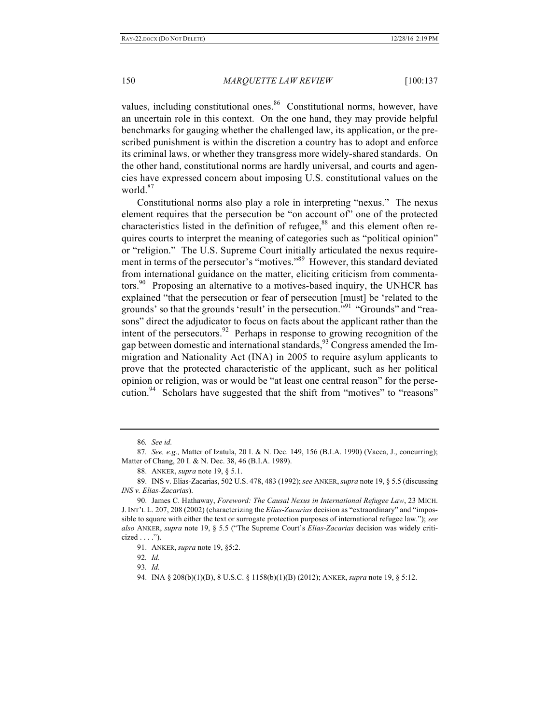values, including constitutional ones.<sup>86</sup> Constitutional norms, however, have an uncertain role in this context. On the one hand, they may provide helpful benchmarks for gauging whether the challenged law, its application, or the prescribed punishment is within the discretion a country has to adopt and enforce its criminal laws, or whether they transgress more widely-shared standards. On the other hand, constitutional norms are hardly universal, and courts and agencies have expressed concern about imposing U.S. constitutional values on the world. $87$ 

Constitutional norms also play a role in interpreting "nexus." The nexus element requires that the persecution be "on account of" one of the protected characteristics listed in the definition of refugee, $88$  and this element often requires courts to interpret the meaning of categories such as "political opinion" or "religion." The U.S. Supreme Court initially articulated the nexus requirement in terms of the persecutor's "motives."89 However, this standard deviated from international guidance on the matter, eliciting criticism from commentators.<sup>90</sup> Proposing an alternative to a motives-based inquiry, the UNHCR has explained "that the persecution or fear of persecution [must] be 'related to the grounds' so that the grounds 'result' in the persecution."<sup>91</sup> "Grounds" and "reasons" direct the adjudicator to focus on facts about the applicant rather than the intent of the persecutors. <sup>92</sup> Perhaps in response to growing recognition of the gap between domestic and international standards,  $93$  Congress amended the Immigration and Nationality Act (INA) in 2005 to require asylum applicants to prove that the protected characteristic of the applicant, such as her political opinion or religion, was or would be "at least one central reason" for the persecution.<sup>94</sup> Scholars have suggested that the shift from "motives" to "reasons"

<sup>86</sup>*. See id.*

<sup>87</sup>*. See, e.g.,* Matter of Izatula, 20 I. & N. Dec. 149, 156 (B.I.A. 1990) (Vacca, J., concurring); Matter of Chang, 20 I. & N. Dec. 38, 46 (B.I.A. 1989).

<sup>88.</sup> ANKER, *supra* note 19, § 5.1.

<sup>89.</sup> INS v. Elias-Zacarias, 502 U.S. 478, 483 (1992); *see* ANKER, *supra* note 19, § 5.5 (discussing *INS v. Elias-Zacarias*).

<sup>90.</sup> James C. Hathaway, *Foreword: The Causal Nexus in International Refugee Law*, 23 MICH. J. INT'L L. 207, 208 (2002) (characterizing the *Elias-Zacarias* decision as "extraordinary" and "impossible to square with either the text or surrogate protection purposes of international refugee law."); *see also* ANKER, *supra* note 19, § 5.5 ("The Supreme Court's *Elias-Zacarias* decision was widely criticized  $\dots$ .").

<sup>91.</sup> ANKER, *supra* note 19, §5:2.

<sup>92</sup>*. Id.*

<sup>93</sup>*. Id.*

<sup>94.</sup> INA § 208(b)(1)(B), 8 U.S.C. § 1158(b)(1)(B) (2012); ANKER, *supra* note 19, § 5:12.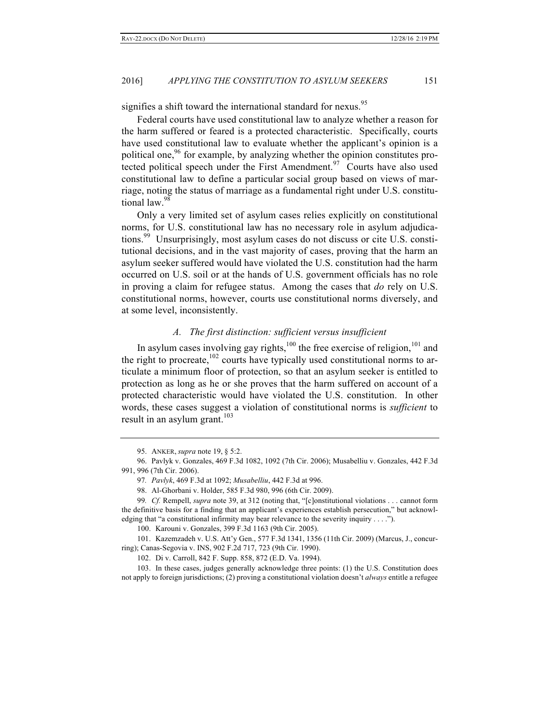signifies a shift toward the international standard for nexus.<sup>95</sup>

Federal courts have used constitutional law to analyze whether a reason for the harm suffered or feared is a protected characteristic. Specifically, courts have used constitutional law to evaluate whether the applicant's opinion is a political one,  $96$  for example, by analyzing whether the opinion constitutes protected political speech under the First Amendment.<sup>97</sup> Courts have also used constitutional law to define a particular social group based on views of marriage, noting the status of marriage as a fundamental right under U.S. constitutional law.<sup>98</sup>

Only a very limited set of asylum cases relies explicitly on constitutional norms, for U.S. constitutional law has no necessary role in asylum adjudications.<sup>99</sup> Unsurprisingly, most asylum cases do not discuss or cite U.S. constitutional decisions, and in the vast majority of cases, proving that the harm an asylum seeker suffered would have violated the U.S. constitution had the harm occurred on U.S. soil or at the hands of U.S. government officials has no role in proving a claim for refugee status. Among the cases that *do* rely on U.S. constitutional norms, however, courts use constitutional norms diversely, and at some level, inconsistently.

# *A. The first distinction: sufficient versus insufficient*

In asylum cases involving gay rights, $100$  the free exercise of religion, $101$  and the right to procreate,  $102$  courts have typically used constitutional norms to articulate a minimum floor of protection, so that an asylum seeker is entitled to protection as long as he or she proves that the harm suffered on account of a protected characteristic would have violated the U.S. constitution. In other words, these cases suggest a violation of constitutional norms is *sufficient* to result in an asylum grant. $103$ 

101. Kazemzadeh v. U.S. Att'y Gen., 577 F.3d 1341, 1356 (11th Cir. 2009) (Marcus, J., concurring); Canas-Segovia v. INS, 902 F.2d 717, 723 (9th Cir. 1990).

<sup>95.</sup> ANKER, *supra* note 19, § 5:2.

<sup>96.</sup> Pavlyk v. Gonzales, 469 F.3d 1082, 1092 (7th Cir. 2006); Musabelliu v. Gonzales, 442 F.3d 991, 996 (7th Cir. 2006).

<sup>97</sup>*. Pavlyk*, 469 F.3d at 1092; *Musabelliu*, 442 F.3d at 996.

<sup>98.</sup> Al-Ghorbani v. Holder, 585 F.3d 980, 996 (6th Cir. 2009).

<sup>99</sup>*. Cf.* Rempell, *supra* note 39, at 312 (noting that, "[c]onstitutional violations . . . cannot form the definitive basis for a finding that an applicant's experiences establish persecution," but acknowledging that "a constitutional infirmity may bear relevance to the severity inquiry . . . .").

<sup>100.</sup> Karouni v. Gonzales, 399 F.3d 1163 (9th Cir. 2005).

<sup>102.</sup> Di v. Carroll, 842 F. Supp. 858, 872 (E.D. Va. 1994).

<sup>103.</sup> In these cases, judges generally acknowledge three points: (1) the U.S. Constitution does not apply to foreign jurisdictions; (2) proving a constitutional violation doesn't *always* entitle a refugee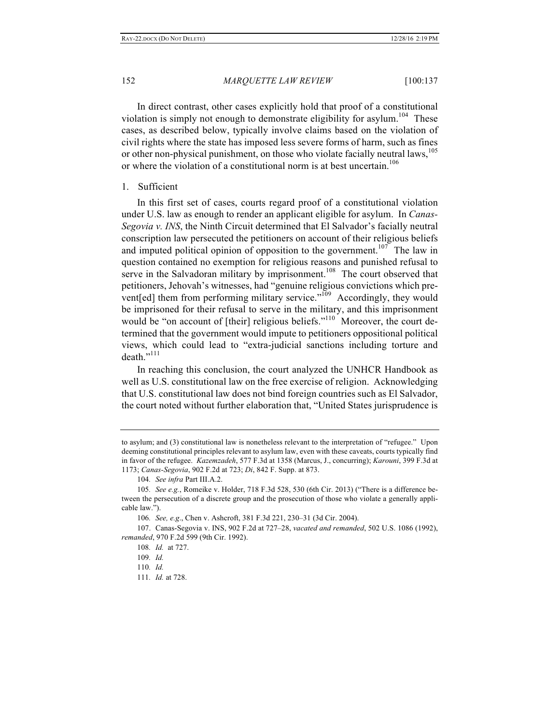In direct contrast, other cases explicitly hold that proof of a constitutional violation is simply not enough to demonstrate eligibility for asylum.<sup>104</sup> These cases, as described below, typically involve claims based on the violation of civil rights where the state has imposed less severe forms of harm, such as fines or other non-physical punishment, on those who violate facially neutral laws,<sup>105</sup> or where the violation of a constitutional norm is at best uncertain.<sup>106</sup>

#### 1. Sufficient

In this first set of cases, courts regard proof of a constitutional violation under U.S. law as enough to render an applicant eligible for asylum. In *Canas-Segovia v. INS*, the Ninth Circuit determined that El Salvador's facially neutral conscription law persecuted the petitioners on account of their religious beliefs and imputed political opinion of opposition to the government.<sup>107</sup> The law in question contained no exemption for religious reasons and punished refusal to serve in the Salvadoran military by imprisonment.<sup>108</sup> The court observed that petitioners, Jehovah's witnesses, had "genuine religious convictions which prevent[ed] them from performing military service."<sup>109</sup> Accordingly, they would be imprisoned for their refusal to serve in the military, and this imprisonment would be "on account of [their] religious beliefs."<sup>110</sup> Moreover, the court determined that the government would impute to petitioners oppositional political views, which could lead to "extra-judicial sanctions including torture and  $death$ ."<sup>111</sup>

In reaching this conclusion, the court analyzed the UNHCR Handbook as well as U.S. constitutional law on the free exercise of religion. Acknowledging that U.S. constitutional law does not bind foreign countries such as El Salvador, the court noted without further elaboration that, "United States jurisprudence is

to asylum; and (3) constitutional law is nonetheless relevant to the interpretation of "refugee." Upon deeming constitutional principles relevant to asylum law, even with these caveats, courts typically find in favor of the refugee. *Kazemzadeh*, 577 F.3d at 1358 (Marcus, J., concurring); *Karouni*, 399 F.3d at 1173; *Canas-Segovia*, 902 F.2d at 723; *Di*, 842 F. Supp. at 873.

<sup>104</sup>*. See infra* Part III.A.2.

<sup>105</sup>*. See e.g.*, Romeike v. Holder, 718 F.3d 528, 530 (6th Cir. 2013) ("There is a difference between the persecution of a discrete group and the prosecution of those who violate a generally applicable law.").

<sup>106</sup>*. See, e.g*., Chen v. Ashcroft, 381 F.3d 221, 230–31 (3d Cir. 2004).

<sup>107.</sup> Canas-Segovia v. INS, 902 F.2d at 727–28, *vacated and remanded*, 502 U.S. 1086 (1992), *remanded*, 970 F.2d 599 (9th Cir. 1992).

<sup>108</sup>*. Id.* at 727.

<sup>109</sup>*. Id.*

<sup>110</sup>*. Id.*

<sup>111</sup>*. Id.* at 728.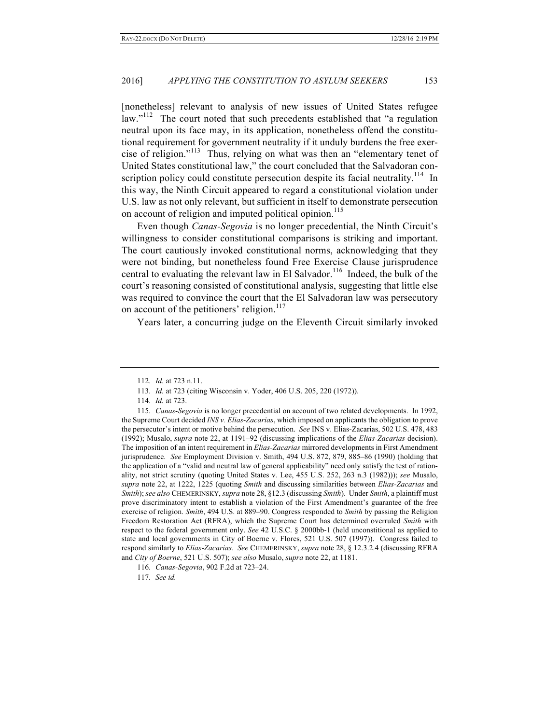[nonetheless] relevant to analysis of new issues of United States refugee law. $12^{112}$  The court noted that such precedents established that "a regulation neutral upon its face may, in its application, nonetheless offend the constitutional requirement for government neutrality if it unduly burdens the free exercise of religion."113 Thus, relying on what was then an "elementary tenet of United States constitutional law," the court concluded that the Salvadoran conscription policy could constitute persecution despite its facial neutrality.<sup>114</sup> In this way, the Ninth Circuit appeared to regard a constitutional violation under U.S. law as not only relevant, but sufficient in itself to demonstrate persecution on account of religion and imputed political opinion.<sup>115</sup>

Even though *Canas-Segovia* is no longer precedential, the Ninth Circuit's willingness to consider constitutional comparisons is striking and important. The court cautiously invoked constitutional norms, acknowledging that they were not binding, but nonetheless found Free Exercise Clause jurisprudence central to evaluating the relevant law in El Salvador.<sup>116</sup> Indeed, the bulk of the court's reasoning consisted of constitutional analysis, suggesting that little else was required to convince the court that the El Salvadoran law was persecutory on account of the petitioners' religion.<sup>117</sup>

Years later, a concurring judge on the Eleventh Circuit similarly invoked

117*. See id.*

<sup>112</sup>*. Id.* at 723 n.11.

<sup>113</sup>*. Id.* at 723 (citing Wisconsin v. Yoder, 406 U.S. 205, 220 (1972)).

<sup>114</sup>*. Id.* at 723.

<sup>115</sup>*. Canas-Segovia* is no longer precedential on account of two related developments. In 1992, the Supreme Court decided *INS v. Elias-Zacarias*, which imposed on applicants the obligation to prove the persecutor's intent or motive behind the persecution. *See* INS v. Elias-Zacarias, 502 U.S. 478, 483 (1992); Musalo, *supra* note 22, at 1191–92 (discussing implications of the *Elias-Zacarias* decision). The imposition of an intent requirement in *Elias-Zacarias* mirrored developments in First Amendment jurisprudence. *See* Employment Division v. Smith, 494 U.S. 872, 879, 885–86 (1990) (holding that the application of a "valid and neutral law of general applicability" need only satisfy the test of rationality, not strict scrutiny (quoting United States v. Lee, 455 U.S. 252, 263 n.3 (1982))); *see* Musalo, *supra* note 22, at 1222, 1225 (quoting *Smith* and discussing similarities between *Elias-Zacarias* and *Smith*); *see also* CHEMERINSKY, *supra* note 28, §12.3 (discussing *Smith*). Under *Smith*, a plaintiff must prove discriminatory intent to establish a violation of the First Amendment's guarantee of the free exercise of religion. *Smith*, 494 U.S. at 889–90. Congress responded to *Smith* by passing the Religion Freedom Restoration Act (RFRA), which the Supreme Court has determined overruled *Smith* with respect to the federal government only. *See* 42 U.S.C. § 2000bb-1 (held unconstitional as applied to state and local governments in City of Boerne v. Flores, 521 U.S. 507 (1997)). Congress failed to respond similarly to *Elias-Zacarias*. *See* CHEMERINSKY, *supra* note 28, § 12.3.2.4 (discussing RFRA and *City of Boerne*, 521 U.S. 507); *see also* Musalo, *supra* note 22, at 1181.

<sup>116</sup>*. Canas-Segovia*, 902 F.2d at 723–24.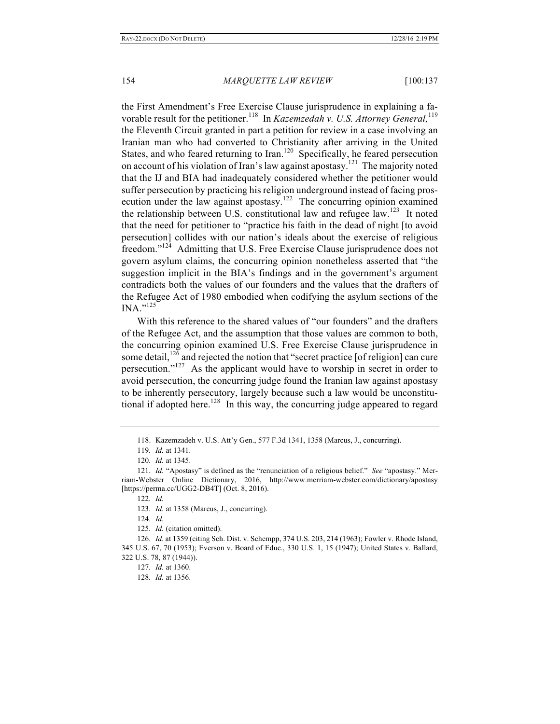the First Amendment's Free Exercise Clause jurisprudence in explaining a favorable result for the petitioner.<sup>118</sup> In *Kazemzedah v. U.S. Attorney General*,<sup>119</sup> the Eleventh Circuit granted in part a petition for review in a case involving an Iranian man who had converted to Christianity after arriving in the United States, and who feared returning to Iran.<sup>120</sup> Specifically, he feared persecution on account of his violation of Iran's law against apostasy.<sup>121</sup> The majority noted that the IJ and BIA had inadequately considered whether the petitioner would suffer persecution by practicing his religion underground instead of facing prosecution under the law against apostasy.<sup>122</sup> The concurring opinion examined the relationship between U.S. constitutional law and refugee law.<sup>123</sup> It noted that the need for petitioner to "practice his faith in the dead of night [to avoid persecution] collides with our nation's ideals about the exercise of religious freedom."124 Admitting that U.S. Free Exercise Clause jurisprudence does not govern asylum claims, the concurring opinion nonetheless asserted that "the suggestion implicit in the BIA's findings and in the government's argument contradicts both the values of our founders and the values that the drafters of the Refugee Act of 1980 embodied when codifying the asylum sections of the  $\text{INA.}^{(125)}$ 

With this reference to the shared values of "our founders" and the drafters of the Refugee Act, and the assumption that those values are common to both, the concurring opinion examined U.S. Free Exercise Clause jurisprudence in some detail,  $126$  and rejected the notion that "secret practice [of religion] can cure persecution."127 As the applicant would have to worship in secret in order to avoid persecution, the concurring judge found the Iranian law against apostasy to be inherently persecutory, largely because such a law would be unconstitutional if adopted here.<sup>128</sup> In this way, the concurring judge appeared to regard

<sup>118.</sup> Kazemzadeh v. U.S. Att'y Gen., 577 F.3d 1341, 1358 (Marcus, J., concurring).

<sup>119</sup>*. Id.* at 1341.

<sup>120</sup>*. Id.* at 1345.

<sup>121</sup>*. Id.* "Apostasy" is defined as the "renunciation of a religious belief." *See* "apostasy." Merriam-Webster Online Dictionary, 2016, http://www.merriam-webster.com/dictionary/apostasy [https://perma.cc/UGG2-DB4T] (Oct. 8, 2016).

<sup>122</sup>*. Id.*

<sup>123</sup>*. Id.* at 1358 (Marcus, J., concurring).

<sup>124</sup>*. Id.*

<sup>125</sup>*. Id.* (citation omitted).

<sup>126</sup>*. Id.* at 1359 (citing Sch. Dist. v. Schempp, 374 U.S. 203, 214 (1963); Fowler v. Rhode Island, 345 U.S. 67, 70 (1953); Everson v. Board of Educ., 330 U.S. 1, 15 (1947); United States v. Ballard, 322 U.S. 78, 87 (1944)).

<sup>127</sup>*. Id.* at 1360.

<sup>128</sup>*. Id.* at 1356.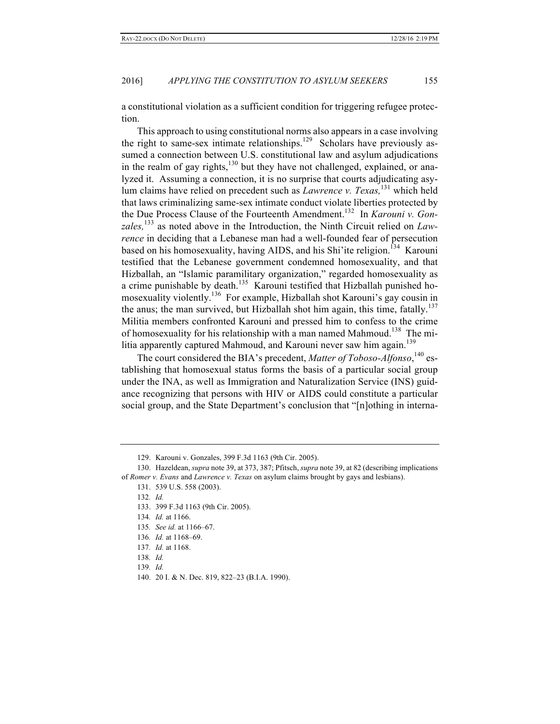a constitutional violation as a sufficient condition for triggering refugee protection.

This approach to using constitutional norms also appears in a case involving the right to same-sex intimate relationships.<sup>129</sup> Scholars have previously assumed a connection between U.S. constitutional law and asylum adjudications in the realm of gay rights, $130$  but they have not challenged, explained, or analyzed it. Assuming a connection, it is no surprise that courts adjudicating asylum claims have relied on precedent such as *Lawrence v. Texas,*<sup>131</sup> which held that laws criminalizing same-sex intimate conduct violate liberties protected by the Due Process Clause of the Fourteenth Amendment.132 In *Karouni v. Gonzales,*<sup>133</sup> as noted above in the Introduction, the Ninth Circuit relied on *Lawrence* in deciding that a Lebanese man had a well-founded fear of persecution based on his homosexuality, having AIDS, and his Shi'le religion.<sup>134</sup> Karouni testified that the Lebanese government condemned homosexuality, and that Hizballah, an "Islamic paramilitary organization," regarded homosexuality as a crime punishable by death.<sup>135</sup> Karouni testified that Hizballah punished homosexuality violently.136 For example, Hizballah shot Karouni's gay cousin in the anus; the man survived, but Hizballah shot him again, this time, fatally.<sup>137</sup> Militia members confronted Karouni and pressed him to confess to the crime of homosexuality for his relationship with a man named Mahmoud.<sup>138</sup> The militia apparently captured Mahmoud, and Karouni never saw him again.<sup>139</sup>

The court considered the BIA's precedent, *Matter of Toboso-Alfonso*, <sup>140</sup> establishing that homosexual status forms the basis of a particular social group under the INA, as well as Immigration and Naturalization Service (INS) guidance recognizing that persons with HIV or AIDS could constitute a particular social group, and the State Department's conclusion that "[n]othing in interna-

133. 399 F.3d 1163 (9th Cir. 2005).

- 135*. See id.* at 1166–67.
- 136*. Id.* at 1168–69.
- 137*. Id.* at 1168.
- 138*. Id.*
- 139*. Id.*
- 140. 20 I. & N. Dec. 819, 822–23 (B.I.A. 1990).

<sup>129.</sup> Karouni v. Gonzales, 399 F.3d 1163 (9th Cir. 2005).

<sup>130.</sup> Hazeldean, *supra* note 39, at 373, 387; Pfitsch, *supra* note 39, at 82 (describing implications of *Romer v. Evans* and *Lawrence v. Texas* on asylum claims brought by gays and lesbians).

<sup>131.</sup> 539 U.S. 558 (2003).

<sup>132</sup>*. Id.*

<sup>134</sup>*. Id.* at 1166.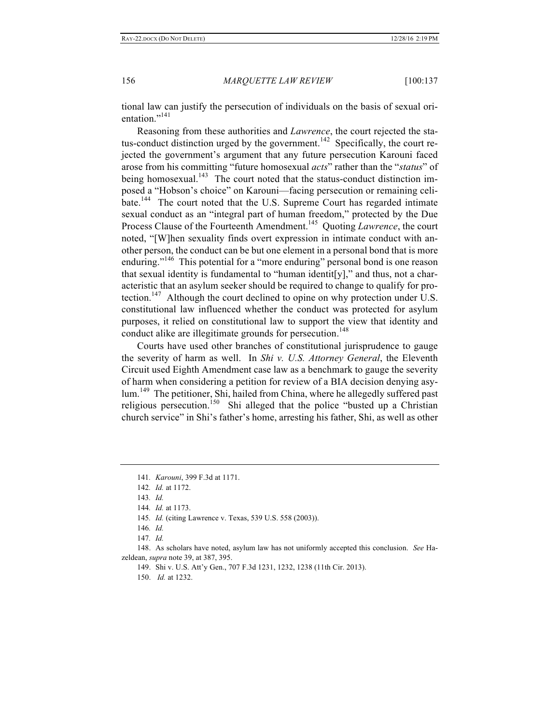tional law can justify the persecution of individuals on the basis of sexual orientation."<sup>141</sup>

Reasoning from these authorities and *Lawrence*, the court rejected the status-conduct distinction urged by the government.<sup>142</sup> Specifically, the court rejected the government's argument that any future persecution Karouni faced arose from his committing "future homosexual *acts*" rather than the "*status*" of being homosexual.<sup>143</sup> The court noted that the status-conduct distinction imposed a "Hobson's choice" on Karouni—facing persecution or remaining celibate.<sup>144</sup> The court noted that the U.S. Supreme Court has regarded intimate sexual conduct as an "integral part of human freedom," protected by the Due Process Clause of the Fourteenth Amendment.<sup>145</sup> Quoting *Lawrence*, the court noted, "[W]hen sexuality finds overt expression in intimate conduct with another person, the conduct can be but one element in a personal bond that is more enduring."<sup>146</sup> This potential for a "more enduring" personal bond is one reason that sexual identity is fundamental to "human identit[y]," and thus, not a characteristic that an asylum seeker should be required to change to qualify for protection.<sup>147</sup> Although the court declined to opine on why protection under U.S. constitutional law influenced whether the conduct was protected for asylum purposes, it relied on constitutional law to support the view that identity and conduct alike are illegitimate grounds for persecution. 148

Courts have used other branches of constitutional jurisprudence to gauge the severity of harm as well. In *Shi v. U.S. Attorney General*, the Eleventh Circuit used Eighth Amendment case law as a benchmark to gauge the severity of harm when considering a petition for review of a BIA decision denying asylum.<sup>149</sup> The petitioner, Shi, hailed from China, where he allegedly suffered past religious persecution.<sup>150</sup> Shi alleged that the police "busted up a Christian" church service" in Shi's father's home, arresting his father, Shi, as well as other

148. As scholars have noted, asylum law has not uniformly accepted this conclusion. *See* Hazeldean, *supra* note 39, at 387, 395.

<sup>141</sup>*. Karouni*, 399 F.3d at 1171.

<sup>142</sup>*. Id.* at 1172.

<sup>143</sup>*. Id.*

<sup>144</sup>*. Id.* at 1173.

<sup>145</sup>*. Id.* (citing Lawrence v. Texas, 539 U.S. 558 (2003)).

<sup>146</sup>*. Id.*

<sup>147</sup>*. Id.*

<sup>149.</sup> Shi v. U.S. Att'y Gen., 707 F.3d 1231, 1232, 1238 (11th Cir. 2013).

<sup>150.</sup> *Id.* at 1232.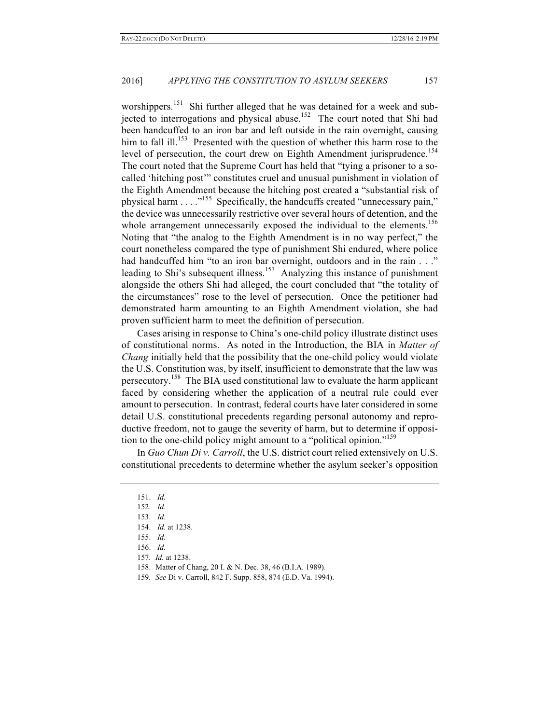worshippers.<sup>151</sup> Shi further alleged that he was detained for a week and subjected to interrogations and physical abuse.<sup>152</sup> The court noted that Shi had been handcuffed to an iron bar and left outside in the rain overnight, causing him to fall ill.<sup>153</sup> Presented with the question of whether this harm rose to the level of persecution, the court drew on Eighth Amendment jurisprudence.<sup>154</sup> The court noted that the Supreme Court has held that "tying a prisoner to a socalled 'hitching post'" constitutes cruel and unusual punishment in violation of the Eighth Amendment because the hitching post created a "substantial risk of physical harm . . . ."155 Specifically, the handcuffs created "unnecessary pain," the device was unnecessarily restrictive over several hours of detention, and the whole arrangement unnecessarily exposed the individual to the elements.<sup>156</sup> Noting that "the analog to the Eighth Amendment is in no way perfect," the court nonetheless compared the type of punishment Shi endured, where police had handcuffed him "to an iron bar overnight, outdoors and in the rain . . ." leading to Shi's subsequent illness.<sup>157</sup> Analyzing this instance of punishment alongside the others Shi had alleged, the court concluded that "the totality of the circumstances" rose to the level of persecution. Once the petitioner had demonstrated harm amounting to an Eighth Amendment violation, she had proven sufficient harm to meet the definition of persecution.

Cases arising in response to China's one-child policy illustrate distinct uses of constitutional norms. As noted in the Introduction, the BIA in *Matter of Chang* initially held that the possibility that the one-child policy would violate the U.S. Constitution was, by itself, insufficient to demonstrate that the law was persecutory.<sup>158</sup> The BIA used constitutional law to evaluate the harm applicant faced by considering whether the application of a neutral rule could ever amount to persecution. In contrast, federal courts have later considered in some detail U.S. constitutional precedents regarding personal autonomy and reproductive freedom, not to gauge the severity of harm, but to determine if opposition to the one-child policy might amount to a "political opinion." 159

In *Guo Chun Di v. Carroll*, the U.S. district court relied extensively on U.S. constitutional precedents to determine whether the asylum seeker's opposition

- 157*. Id.* at 1238.
- 158. Matter of Chang, 20 I. & N. Dec. 38, 46 (B.I.A. 1989).
- 159*. See* Di v. Carroll, 842 F. Supp. 858, 874 (E.D. Va. 1994).

<sup>151.</sup> *Id.*

<sup>152.</sup> *Id.*

<sup>153.</sup> *Id.*

<sup>154.</sup> *Id.* at 1238.

<sup>155.</sup> *Id.*

<sup>156.</sup> *Id.*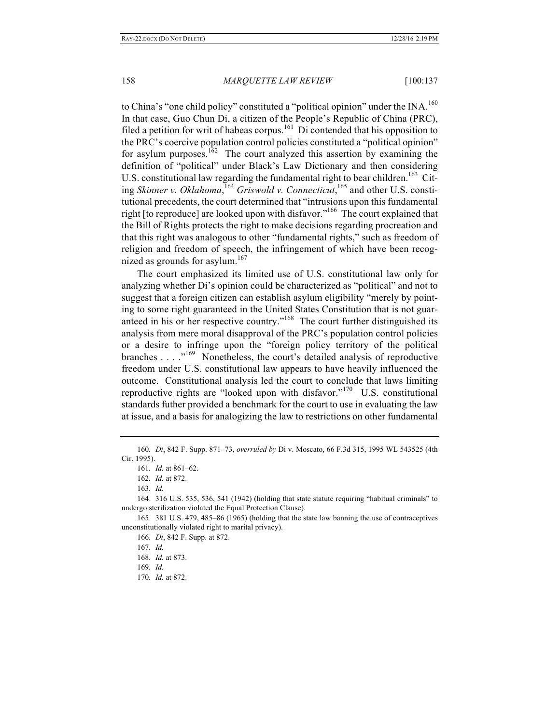to China's "one child policy" constituted a "political opinion" under the INA.<sup>160</sup> In that case, Guo Chun Di, a citizen of the People's Republic of China (PRC), filed a petition for writ of habeas corpus.<sup>161</sup> Di contended that his opposition to the PRC's coercive population control policies constituted a "political opinion" for asylum purposes.<sup>162</sup> The court analyzed this assertion by examining the definition of "political" under Black's Law Dictionary and then considering U.S. constitutional law regarding the fundamental right to bear children.<sup>163</sup> Citing *Skinner v. Oklahoma*, <sup>164</sup> *Griswold v. Connecticut*, <sup>165</sup> and other U.S. constitutional precedents, the court determined that "intrusions upon this fundamental right [to reproduce] are looked upon with disfavor."<sup>166</sup> The court explained that the Bill of Rights protects the right to make decisions regarding procreation and that this right was analogous to other "fundamental rights," such as freedom of religion and freedom of speech, the infringement of which have been recognized as grounds for asylum.<sup>167</sup>

The court emphasized its limited use of U.S. constitutional law only for analyzing whether Di's opinion could be characterized as "political" and not to suggest that a foreign citizen can establish asylum eligibility "merely by pointing to some right guaranteed in the United States Constitution that is not guaranteed in his or her respective country."<sup>168</sup> The court further distinguished its analysis from mere moral disapproval of the PRC's population control policies or a desire to infringe upon the "foreign policy territory of the political branches . . . .<sup>"169</sup> Nonetheless, the court's detailed analysis of reproductive freedom under U.S. constitutional law appears to have heavily influenced the outcome. Constitutional analysis led the court to conclude that laws limiting reproductive rights are "looked upon with disfavor."<sup>170</sup> U.S. constitutional standards futher provided a benchmark for the court to use in evaluating the law at issue, and a basis for analogizing the law to restrictions on other fundamental

<sup>160</sup>*. Di*, 842 F. Supp. 871–73, *overruled by* Di v. Moscato, 66 F.3d 315, 1995 WL 543525 (4th Cir. 1995).

<sup>161</sup>*. Id.* at 861–62.

<sup>162</sup>*. Id.* at 872.

<sup>163</sup>*. Id.*

<sup>164.</sup> 316 U.S. 535, 536, 541 (1942) (holding that state statute requiring "habitual criminals" to undergo sterilization violated the Equal Protection Clause).

<sup>165.</sup> 381 U.S. 479, 485–86 (1965) (holding that the state law banning the use of contraceptives unconstitutionally violated right to marital privacy).

<sup>166</sup>*. Di*, 842 F. Supp. at 872.

<sup>167</sup>*. Id.*

<sup>168</sup>*. Id.* at 873.

<sup>169</sup>*. Id.*

<sup>170</sup>*. Id.* at 872.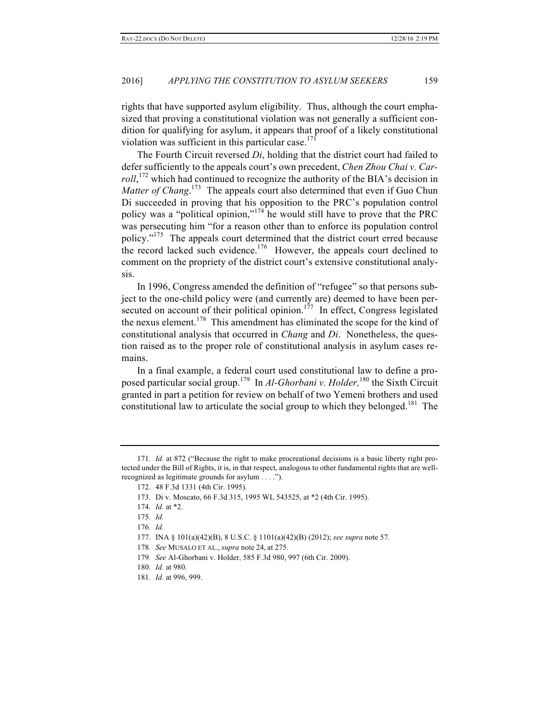rights that have supported asylum eligibility. Thus, although the court emphasized that proving a constitutional violation was not generally a sufficient condition for qualifying for asylum, it appears that proof of a likely constitutional violation was sufficient in this particular case. $171$ 

The Fourth Circuit reversed *Di*, holding that the district court had failed to defer sufficiently to the appeals court's own precedent, *Chen Zhou Chai v. Car*roll,<sup>172</sup> which had continued to recognize the authority of the BIA's decision in Matter of Chang.<sup>173</sup> The appeals court also determined that even if Guo Chun Di succeeded in proving that his opposition to the PRC's population control policy was a "political opinion," <sup>174</sup> he would still have to prove that the PRC was persecuting him "for a reason other than to enforce its population control policy."<sup>175</sup> The appeals court determined that the district court erred because the record lacked such evidence.<sup>176</sup> However, the appeals court declined to comment on the propriety of the district court's extensive constitutional analysis.

In 1996, Congress amended the definition of "refugee" so that persons subject to the one-child policy were (and currently are) deemed to have been persecuted on account of their political opinion.<sup>177</sup> In effect, Congress legislated the nexus element.178 This amendment has eliminated the scope for the kind of constitutional analysis that occurred in *Chang* and *Di*. Nonetheless, the question raised as to the proper role of constitutional analysis in asylum cases remains.

In a final example, a federal court used constitutional law to define a proposed particular social group. 179 In *Al-Ghorbani v. Holder,*<sup>180</sup> the Sixth Circuit granted in part a petition for review on behalf of two Yemeni brothers and used constitutional law to articulate the social group to which they belonged.<sup>181</sup> The

<sup>171</sup>*. Id.* at 872 ("Because the right to make procreational decisions is a basic liberty right protected under the Bill of Rights, it is, in that respect, analogous to other fundamental rights that are wellrecognized as legitimate grounds for asylum . . . .").

<sup>172.</sup> 48 F.3d 1331 (4th Cir. 1995).

<sup>173.</sup> Di v. Moscato, 66 F.3d 315, 1995 WL 543525, at \*2 (4th Cir. 1995).

<sup>174</sup>*. Id.* at \*2.

<sup>175</sup>*. Id.*

<sup>176</sup>*. Id.*

<sup>177.</sup> INA § 101(a)(42)(B), 8 U.S.C. § 1101(a)(42)(B) (2012); *see supra* note 57.

<sup>178</sup>*. See* MUSALO ET AL., *supra* note 24, at 275.

<sup>179</sup>*. See* Al-Ghorbani v. Holder, 585 F.3d 980, 997 (6th Cir. 2009).

<sup>180</sup>*. Id.* at 980.

<sup>181</sup>*. Id.* at 996, 999.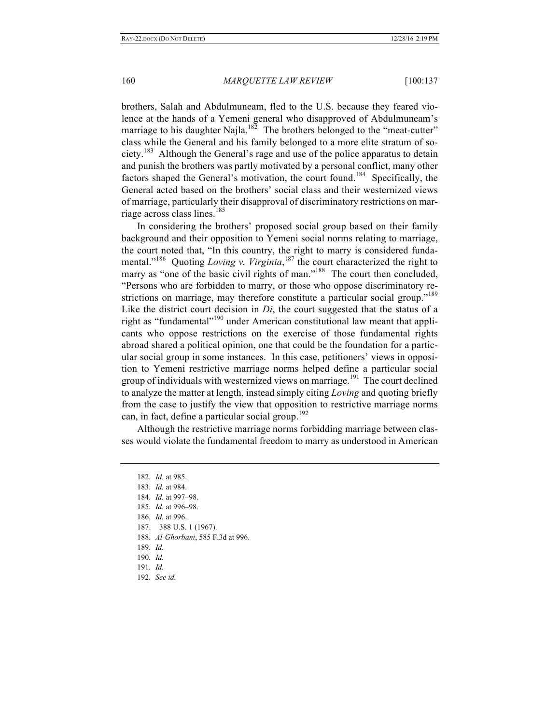brothers, Salah and Abdulmuneam, fled to the U.S. because they feared violence at the hands of a Yemeni general who disapproved of Abdulmuneam's marriage to his daughter Najla.<sup>182</sup> The brothers belonged to the "meat-cutter" class while the General and his family belonged to a more elite stratum of society.<sup>183</sup> Although the General's rage and use of the police apparatus to detain and punish the brothers was partly motivated by a personal conflict, many other factors shaped the General's motivation, the court found.<sup>184</sup> Specifically, the General acted based on the brothers' social class and their westernized views of marriage, particularly their disapproval of discriminatory restrictions on marriage across class lines.<sup>185</sup>

In considering the brothers' proposed social group based on their family background and their opposition to Yemeni social norms relating to marriage, the court noted that, "In this country, the right to marry is considered fundamental."<sup>186</sup> Quoting *Loving v. Virginia*,<sup>187</sup> the court characterized the right to marry as "one of the basic civil rights of man."<sup>188</sup> The court then concluded, "Persons who are forbidden to marry, or those who oppose discriminatory restrictions on marriage, may therefore constitute a particular social group."<sup>189</sup> Like the district court decision in *Di*, the court suggested that the status of a right as "fundamental"<sup>190</sup> under American constitutional law meant that applicants who oppose restrictions on the exercise of those fundamental rights abroad shared a political opinion, one that could be the foundation for a particular social group in some instances. In this case, petitioners' views in opposition to Yemeni restrictive marriage norms helped define a particular social group of individuals with westernized views on marriage.<sup>191</sup> The court declined to analyze the matter at length, instead simply citing *Loving* and quoting briefly from the case to justify the view that opposition to restrictive marriage norms can, in fact, define a particular social group.<sup>192</sup>

Although the restrictive marriage norms forbidding marriage between classes would violate the fundamental freedom to marry as understood in American

- 187. 388 U.S. 1 (1967).
- 188*. Al-Ghorbani*, 585 F.3d at 996*.*

- 191*. Id.*
- 192*. See id.*

<sup>182</sup>*. Id.* at 985.

<sup>183</sup>*. Id.* at 984.

<sup>184</sup>*. Id.* at 997–98.

<sup>185</sup>*. Id.* at 996–98.

<sup>186</sup>*. Id.* at 996.

<sup>189</sup>*. Id.*

<sup>190</sup>*. Id.*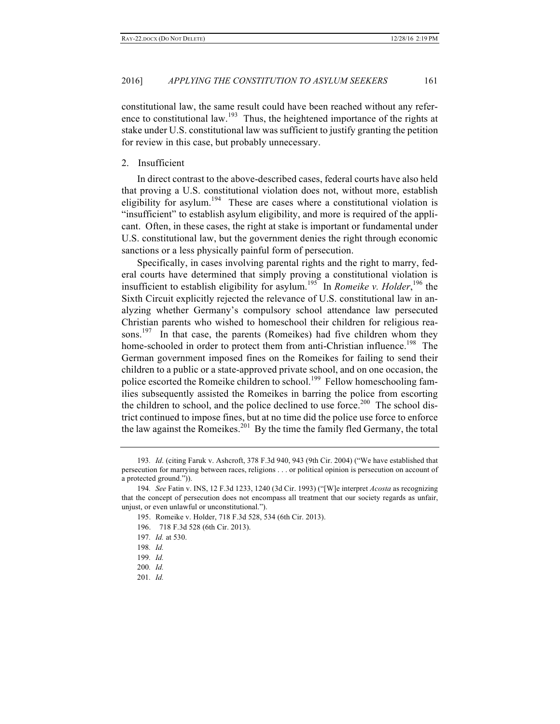constitutional law, the same result could have been reached without any reference to constitutional law.<sup>193</sup> Thus, the heightened importance of the rights at stake under U.S. constitutional law was sufficient to justify granting the petition for review in this case, but probably unnecessary.

#### 2. Insufficient

In direct contrast to the above-described cases, federal courts have also held that proving a U.S. constitutional violation does not, without more, establish eligibility for asylum.<sup>194</sup> These are cases where a constitutional violation is "insufficient" to establish asylum eligibility, and more is required of the applicant. Often, in these cases, the right at stake is important or fundamental under U.S. constitutional law, but the government denies the right through economic sanctions or a less physically painful form of persecution.

Specifically, in cases involving parental rights and the right to marry, federal courts have determined that simply proving a constitutional violation is insufficient to establish eligibility for asylum.<sup>195</sup> In *Romeike v. Holder*,<sup>196</sup> the Sixth Circuit explicitly rejected the relevance of U.S. constitutional law in analyzing whether Germany's compulsory school attendance law persecuted Christian parents who wished to homeschool their children for religious reasons.<sup>197</sup> In that case, the parents (Romeikes) had five children whom they home-schooled in order to protect them from anti-Christian influence.<sup>198</sup> The German government imposed fines on the Romeikes for failing to send their children to a public or a state-approved private school, and on one occasion, the police escorted the Romeike children to school.<sup>199</sup> Fellow homeschooling families subsequently assisted the Romeikes in barring the police from escorting the children to school, and the police declined to use force.<sup>200</sup> The school district continued to impose fines, but at no time did the police use force to enforce the law against the Romeikes.<sup>201</sup> By the time the family fled Germany, the total

<sup>193</sup>*. Id*. (citing Faruk v. Ashcroft, 378 F.3d 940, 943 (9th Cir. 2004) ("We have established that persecution for marrying between races, religions . . . or political opinion is persecution on account of a protected ground.")).

<sup>194</sup>*. See* Fatin v. INS, 12 F.3d 1233, 1240 (3d Cir. 1993) ("[W]e interpret *Acosta* as recognizing that the concept of persecution does not encompass all treatment that our society regards as unfair, unjust, or even unlawful or unconstitutional.").

<sup>195.</sup> Romeike v. Holder, 718 F.3d 528, 534 (6th Cir. 2013).

<sup>196. 718</sup> F.3d 528 (6th Cir. 2013).

<sup>197</sup>*. Id.* at 530.

<sup>198</sup>*. Id.*

<sup>199</sup>*. Id.*

<sup>200</sup>*. Id.*

<sup>201</sup>*. Id.*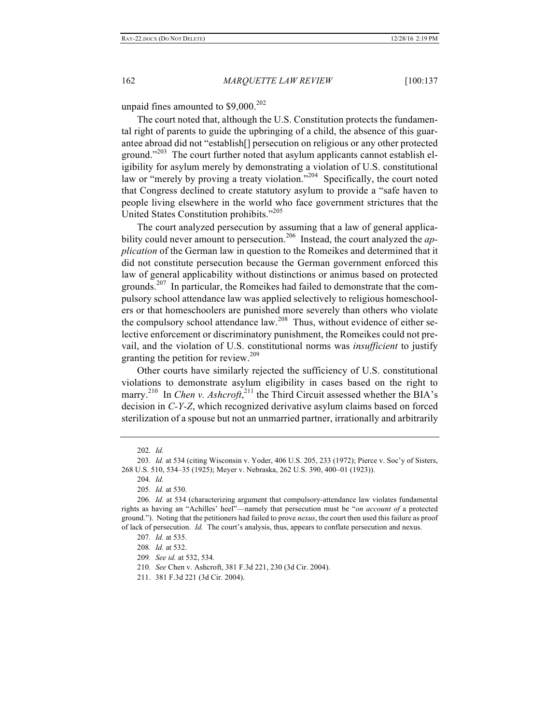unpaid fines amounted to \$9,000.<sup>202</sup>

The court noted that, although the U.S. Constitution protects the fundamental right of parents to guide the upbringing of a child, the absence of this guarantee abroad did not "establish[] persecution on religious or any other protected ground."<sup>203</sup> The court further noted that asylum applicants cannot establish eligibility for asylum merely by demonstrating a violation of U.S. constitutional law or "merely by proving a treaty violation."<sup>204</sup> Specifically, the court noted that Congress declined to create statutory asylum to provide a "safe haven to people living elsewhere in the world who face government strictures that the United States Constitution prohibits."<sup>205</sup>

The court analyzed persecution by assuming that a law of general applicability could never amount to persecution.<sup>206</sup> Instead, the court analyzed the *application* of the German law in question to the Romeikes and determined that it did not constitute persecution because the German government enforced this law of general applicability without distinctions or animus based on protected grounds.<sup>207</sup> In particular, the Romeikes had failed to demonstrate that the compulsory school attendance law was applied selectively to religious homeschoolers or that homeschoolers are punished more severely than others who violate the compulsory school attendance law.208 Thus, without evidence of either selective enforcement or discriminatory punishment, the Romeikes could not prevail, and the violation of U.S. constitutional norms was *insufficient* to justify granting the petition for review.<sup>209</sup>

Other courts have similarly rejected the sufficiency of U.S. constitutional violations to demonstrate asylum eligibility in cases based on the right to marry.<sup>210</sup> In *Chen v. Ashcroft*,<sup>211</sup> the Third Circuit assessed whether the BIA's decision in *C-Y-Z*, which recognized derivative asylum claims based on forced sterilization of a spouse but not an unmarried partner, irrationally and arbitrarily

210*. See* Chen v. Ashcroft, 381 F.3d 221, 230 (3d Cir. 2004).

<sup>202</sup>*. Id.*

<sup>203</sup>*. Id.* at 534 (citing Wisconsin v. Yoder, 406 U.S. 205, 233 (1972); Pierce v. Soc'y of Sisters, 268 U.S. 510, 534–35 (1925); Meyer v. Nebraska, 262 U.S. 390, 400–01 (1923)).

<sup>204</sup>*. Id.*

<sup>205</sup>*. Id.* at 530.

<sup>206</sup>*. Id.* at 534 (characterizing argument that compulsory-attendance law violates fundamental rights as having an "Achilles' heel"—namely that persecution must be "*on account of* a protected ground."). Noting that the petitioners had failed to prove *nexus*, the court then used this failure as proof of lack of persecution. *Id.* The court's analysis, thus, appears to conflate persecution and nexus.

<sup>207</sup>*. Id.* at 535.

<sup>208</sup>*. Id.* at 532.

<sup>209</sup>*. See id.* at 532, 534*.*

<sup>211.</sup> 381 F.3d 221 (3d Cir. 2004).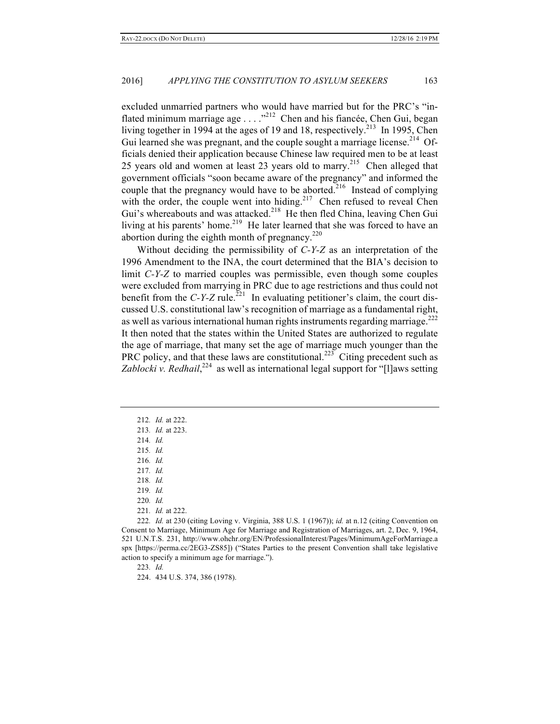excluded unmarried partners who would have married but for the PRC's "inflated minimum marriage age  $\ldots$   $\frac{1}{2}$  Chen and his fiancée, Chen Gui, began living together in 1994 at the ages of 19 and 18, respectively.<sup>213</sup> In 1995, Chen Gui learned she was pregnant, and the couple sought a marriage license.<sup>214</sup> Officials denied their application because Chinese law required men to be at least 25 years old and women at least 23 years old to marry.<sup>215</sup> Chen alleged that government officials "soon became aware of the pregnancy" and informed the couple that the pregnancy would have to be aborted.<sup>216</sup> Instead of complying with the order, the couple went into hiding.<sup>217</sup> Chen refused to reveal Chen Gui's whereabouts and was attacked.<sup>218</sup> He then fled China, leaving Chen Gui living at his parents' home.<sup>219</sup> He later learned that she was forced to have an abortion during the eighth month of pregnancy.<sup>220</sup>

Without deciding the permissibility of *C-Y-Z* as an interpretation of the 1996 Amendment to the INA, the court determined that the BIA's decision to limit *C-Y-Z* to married couples was permissible, even though some couples were excluded from marrying in PRC due to age restrictions and thus could not benefit from the *C-Y-Z* rule.<sup>221</sup> In evaluating petitioner's claim, the court discussed U.S. constitutional law's recognition of marriage as a fundamental right, as well as various international human rights instruments regarding marriage.<sup>222</sup> It then noted that the states within the United States are authorized to regulate the age of marriage, that many set the age of marriage much younger than the PRC policy, and that these laws are constitutional.<sup>223</sup> Citing precedent such as Zablocki v. Redhail,<sup>224</sup> as well as international legal support for "[I]aws setting

215*. Id.*

223*. Id.*

224. 434 U.S. 374, 386 (1978).

<sup>212</sup>*. Id.* at 222.

<sup>213</sup>*. Id.* at 223.

<sup>214</sup>*. Id.*

<sup>216</sup>*. Id.*

<sup>217</sup>*. Id.*

<sup>218</sup>*. Id.*

<sup>219</sup>*. Id.*

<sup>220</sup>*. Id.*

<sup>221</sup>*. Id.* at 222.

<sup>222</sup>*. Id.* at 230 (citing Loving v. Virginia, 388 U.S. 1 (1967)); *id.* at n.12 (citing Convention on Consent to Marriage, Minimum Age for Marriage and Registration of Marriages, art. 2, Dec. 9, 1964, 521 U.N.T.S. 231, http://www.ohchr.org/EN/ProfessionalInterest/Pages/MinimumAgeForMarriage.a spx [https://perma.cc/2EG3-ZS85]) ("States Parties to the present Convention shall take legislative action to specify a minimum age for marriage.").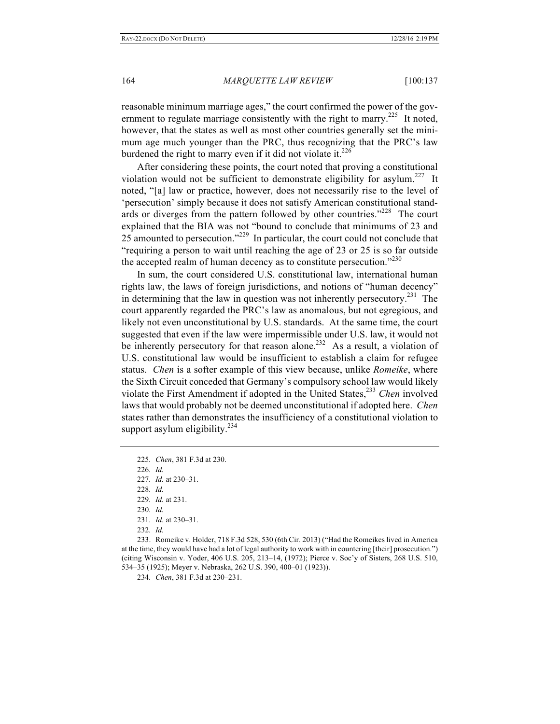reasonable minimum marriage ages," the court confirmed the power of the government to regulate marriage consistently with the right to marry.<sup>225</sup> It noted, however, that the states as well as most other countries generally set the minimum age much younger than the PRC, thus recognizing that the PRC's law burdened the right to marry even if it did not violate it. $226$ 

After considering these points, the court noted that proving a constitutional violation would not be sufficient to demonstrate eligibility for asylum.<sup>227</sup> It noted, "[a] law or practice, however, does not necessarily rise to the level of 'persecution' simply because it does not satisfy American constitutional standards or diverges from the pattern followed by other countries."<sup>228</sup> The court explained that the BIA was not "bound to conclude that minimums of 23 and 25 amounted to persecution."<sup>229</sup> In particular, the court could not conclude that "requiring a person to wait until reaching the age of 23 or 25 is so far outside the accepted realm of human decency as to constitute persecution." $2^{230}$ 

In sum, the court considered U.S. constitutional law, international human rights law, the laws of foreign jurisdictions, and notions of "human decency" in determining that the law in question was not inherently persecutory.<sup>231</sup> The court apparently regarded the PRC's law as anomalous, but not egregious, and likely not even unconstitutional by U.S. standards. At the same time, the court suggested that even if the law were impermissible under U.S. law, it would not be inherently persecutory for that reason alone.<sup>232</sup> As a result, a violation of U.S. constitutional law would be insufficient to establish a claim for refugee status. *Chen* is a softer example of this view because, unlike *Romeike*, where the Sixth Circuit conceded that Germany's compulsory school law would likely violate the First Amendment if adopted in the United States,<sup>233</sup> *Chen* involved laws that would probably not be deemed unconstitutional if adopted here. *Chen* states rather than demonstrates the insufficiency of a constitutional violation to support asylum eligibility. $^{234}$ 

232*. Id.*

233. Romeike v. Holder, 718 F.3d 528, 530 (6th Cir. 2013) ("Had the Romeikes lived in America at the time, they would have had a lot of legal authority to work with in countering [their] prosecution.") (citing Wisconsin v. Yoder, 406 U.S. 205, 213–14, (1972); Pierce v. Soc'y of Sisters, 268 U.S. 510, 534–35 (1925); Meyer v. Nebraska, 262 U.S. 390, 400–01 (1923)).

234*. Chen*, 381 F.3d at 230–231.

<sup>225</sup>*. Chen*, 381 F.3d at 230.

<sup>226</sup>*. Id.* 227*. Id.* at 230–31.

<sup>228</sup>*. Id.*

<sup>229</sup>*. Id.* at 231.

<sup>230</sup>*. Id.*

<sup>231</sup>*. Id.* at 230–31.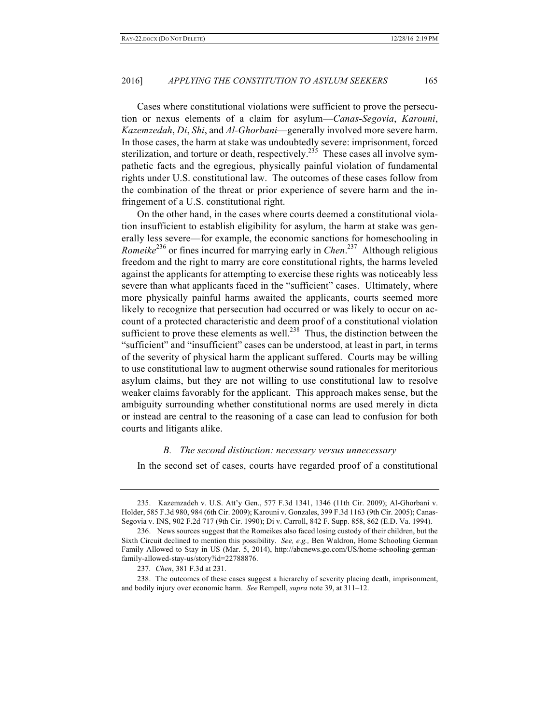Cases where constitutional violations were sufficient to prove the persecution or nexus elements of a claim for asylum—*Canas-Segovia*, *Karouni*, *Kazemzedah*, *Di*, *Shi*, and *Al-Ghorbani*—generally involved more severe harm. In those cases, the harm at stake was undoubtedly severe: imprisonment, forced sterilization, and torture or death, respectively.<sup>235</sup> These cases all involve sympathetic facts and the egregious, physically painful violation of fundamental rights under U.S. constitutional law. The outcomes of these cases follow from the combination of the threat or prior experience of severe harm and the infringement of a U.S. constitutional right.

On the other hand, in the cases where courts deemed a constitutional violation insufficient to establish eligibility for asylum, the harm at stake was generally less severe—for example, the economic sanctions for homeschooling in *Romeike*<sup>236</sup> or fines incurred for marrying early in *Chen*. 237 Although religious freedom and the right to marry are core constitutional rights, the harms leveled against the applicants for attempting to exercise these rights was noticeably less severe than what applicants faced in the "sufficient" cases. Ultimately, where more physically painful harms awaited the applicants, courts seemed more likely to recognize that persecution had occurred or was likely to occur on account of a protected characteristic and deem proof of a constitutional violation sufficient to prove these elements as well.<sup>238</sup> Thus, the distinction between the "sufficient" and "insufficient" cases can be understood, at least in part, in terms of the severity of physical harm the applicant suffered. Courts may be willing to use constitutional law to augment otherwise sound rationales for meritorious asylum claims, but they are not willing to use constitutional law to resolve weaker claims favorably for the applicant. This approach makes sense, but the ambiguity surrounding whether constitutional norms are used merely in dicta or instead are central to the reasoning of a case can lead to confusion for both courts and litigants alike.

#### *B. The second distinction: necessary versus unnecessary*

In the second set of cases, courts have regarded proof of a constitutional

<sup>235.</sup> Kazemzadeh v. U.S. Att'y Gen., 577 F.3d 1341, 1346 (11th Cir. 2009); Al-Ghorbani v. Holder, 585 F.3d 980, 984 (6th Cir. 2009); Karouni v. Gonzales, 399 F.3d 1163 (9th Cir. 2005); Canas-Segovia v. INS, 902 F.2d 717 (9th Cir. 1990); Di v. Carroll, 842 F. Supp. 858, 862 (E.D. Va. 1994).

<sup>236.</sup> News sources suggest that the Romeikes also faced losing custody of their children, but the Sixth Circuit declined to mention this possibility. *See, e.g.,* Ben Waldron, Home Schooling German Family Allowed to Stay in US (Mar. 5, 2014), http://abcnews.go.com/US/home-schooling-germanfamily-allowed-stay-us/story?id=22788876.

<sup>237</sup>*. Chen*, 381 F.3d at 231.

<sup>238.</sup> The outcomes of these cases suggest a hierarchy of severity placing death, imprisonment, and bodily injury over economic harm. *See* Rempell, *supra* note 39, at 311–12.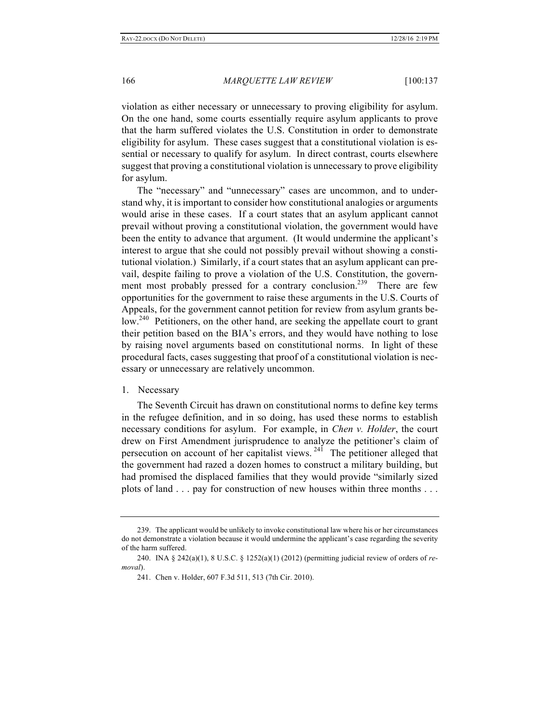violation as either necessary or unnecessary to proving eligibility for asylum. On the one hand, some courts essentially require asylum applicants to prove that the harm suffered violates the U.S. Constitution in order to demonstrate eligibility for asylum. These cases suggest that a constitutional violation is essential or necessary to qualify for asylum. In direct contrast, courts elsewhere suggest that proving a constitutional violation is unnecessary to prove eligibility for asylum.

The "necessary" and "unnecessary" cases are uncommon, and to understand why, it is important to consider how constitutional analogies or arguments would arise in these cases. If a court states that an asylum applicant cannot prevail without proving a constitutional violation, the government would have been the entity to advance that argument. (It would undermine the applicant's interest to argue that she could not possibly prevail without showing a constitutional violation.) Similarly, if a court states that an asylum applicant can prevail, despite failing to prove a violation of the U.S. Constitution, the government most probably pressed for a contrary conclusion.<sup>239</sup> There are few opportunities for the government to raise these arguments in the U.S. Courts of Appeals, for the government cannot petition for review from asylum grants below.<sup>240</sup> Petitioners, on the other hand, are seeking the appellate court to grant their petition based on the BIA's errors, and they would have nothing to lose by raising novel arguments based on constitutional norms. In light of these procedural facts, cases suggesting that proof of a constitutional violation is necessary or unnecessary are relatively uncommon.

#### 1. Necessary

The Seventh Circuit has drawn on constitutional norms to define key terms in the refugee definition, and in so doing, has used these norms to establish necessary conditions for asylum. For example, in *Chen v. Holder*, the court drew on First Amendment jurisprudence to analyze the petitioner's claim of persecution on account of her capitalist views.  $24\overline{1}$  The petitioner alleged that the government had razed a dozen homes to construct a military building, but had promised the displaced families that they would provide "similarly sized plots of land . . . pay for construction of new houses within three months . . .

<sup>239.</sup> The applicant would be unlikely to invoke constitutional law where his or her circumstances do not demonstrate a violation because it would undermine the applicant's case regarding the severity of the harm suffered.

<sup>240.</sup> INA § 242(a)(1), 8 U.S.C. § 1252(a)(1) (2012) (permitting judicial review of orders of *removal*).

<sup>241.</sup> Chen v. Holder, 607 F.3d 511, 513 (7th Cir. 2010).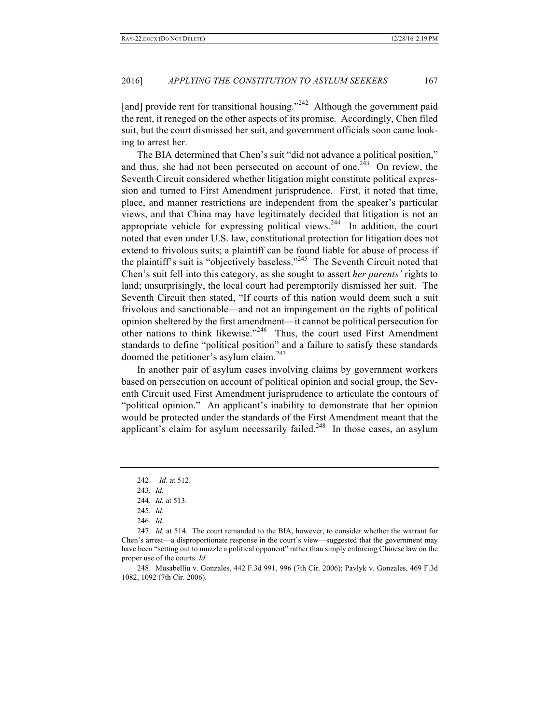[and] provide rent for transitional housing."<sup>242</sup> Although the government paid the rent, it reneged on the other aspects of its promise. Accordingly, Chen filed suit, but the court dismissed her suit, and government officials soon came looking to arrest her.

The BIA determined that Chen's suit "did not advance a political position," and thus, she had not been persecuted on account of one.<sup>243</sup> On review, the Seventh Circuit considered whether litigation might constitute political expression and turned to First Amendment jurisprudence. First, it noted that time, place, and manner restrictions are independent from the speaker's particular views, and that China may have legitimately decided that litigation is not an appropriate vehicle for expressing political views.<sup>244</sup> In addition, the court noted that even under U.S. law, constitutional protection for litigation does not extend to frivolous suits; a plaintiff can be found liable for abuse of process if the plaintiff's suit is "objectively baseless."<sup>245</sup> The Seventh Circuit noted that Chen's suit fell into this category, as she sought to assert *her parents'* rights to land; unsurprisingly, the local court had peremptorily dismissed her suit. The Seventh Circuit then stated, "If courts of this nation would deem such a suit frivolous and sanctionable—and not an impingement on the rights of political opinion sheltered by the first amendment—it cannot be political persecution for other nations to think likewise."<sup>246</sup> Thus, the court used First Amendment standards to define "political position" and a failure to satisfy these standards doomed the petitioner's asylum claim.<sup>247</sup>

In another pair of asylum cases involving claims by government workers based on persecution on account of political opinion and social group, the Seventh Circuit used First Amendment jurisprudence to articulate the contours of "political opinion." An applicant's inability to demonstrate that her opinion would be protected under the standards of the First Amendment meant that the applicant's claim for asylum necessarily failed.<sup>248</sup> In those cases, an asylum

<sup>242.</sup> *Id.* at 512.

<sup>243</sup>*. Id.*

<sup>244</sup>*. Id.* at 513.

<sup>245</sup>*. Id*.

<sup>246</sup>*. Id.*

<sup>247</sup>*. Id.* at 514. The court remanded to the BIA, however, to consider whether the warrant for Chen's arrest—a disproportionate response in the court's view—suggested that the government may have been "setting out to muzzle a political opponent" rather than simply enforcing Chinese law on the proper use of the courts. *Id.*

<sup>248.</sup> Musabelliu v. Gonzales, 442 F.3d 991, 996 (7th Cir. 2006); Pavlyk v. Gonzales, 469 F.3d 1082, 1092 (7th Cir. 2006).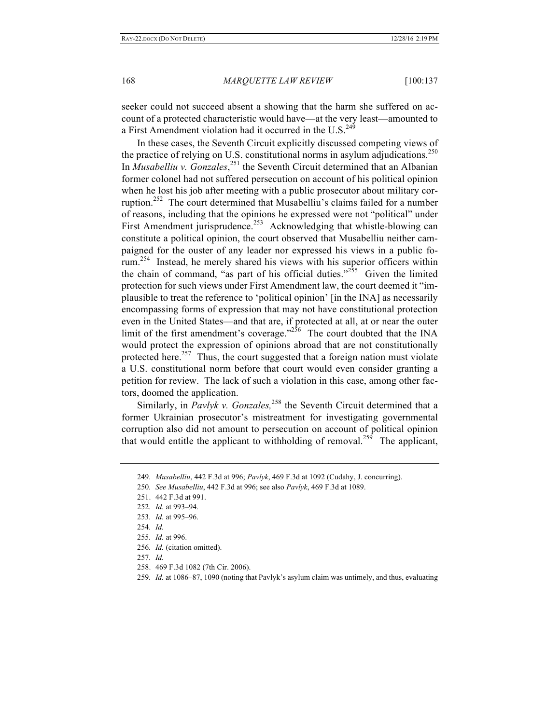seeker could not succeed absent a showing that the harm she suffered on account of a protected characteristic would have—at the very least—amounted to a First Amendment violation had it occurred in the U.S.<sup>249</sup>

In these cases, the Seventh Circuit explicitly discussed competing views of the practice of relying on U.S. constitutional norms in asylum adjudications.<sup>250</sup> In *Musabelliu v. Gonzales*, <sup>251</sup> the Seventh Circuit determined that an Albanian former colonel had not suffered persecution on account of his political opinion when he lost his job after meeting with a public prosecutor about military corruption.<sup>252</sup> The court determined that Musabelliu's claims failed for a number of reasons, including that the opinions he expressed were not "political" under First Amendment jurisprudence.<sup>253</sup> Acknowledging that whistle-blowing can constitute a political opinion, the court observed that Musabelliu neither campaigned for the ouster of any leader nor expressed his views in a public forum.254 Instead, he merely shared his views with his superior officers within the chain of command, "as part of his official duties."<sup>255</sup> Given the limited protection for such views under First Amendment law, the court deemed it "implausible to treat the reference to 'political opinion' [in the INA] as necessarily encompassing forms of expression that may not have constitutional protection even in the United States—and that are, if protected at all, at or near the outer limit of the first amendment's coverage."<sup>256</sup> The court doubted that the INA would protect the expression of opinions abroad that are not constitutionally protected here.<sup>257</sup> Thus, the court suggested that a foreign nation must violate a U.S. constitutional norm before that court would even consider granting a petition for review. The lack of such a violation in this case, among other factors, doomed the application.

Similarly, in *Pavlyk v. Gonzales*,<sup>258</sup> the Seventh Circuit determined that a former Ukrainian prosecutor's mistreatment for investigating governmental corruption also did not amount to persecution on account of political opinion that would entitle the applicant to withholding of removal.<sup>259</sup> The applicant,

258. 469 F.3d 1082 (7th Cir. 2006).

<sup>249</sup>*. Musabelliu*, 442 F.3d at 996; *Pavlyk*, 469 F.3d at 1092 (Cudahy, J. concurring).

<sup>250</sup>*. See Musabelliu*, 442 F.3d at 996; see also *Pavlyk*, 469 F.3d at 1089.

<sup>251.</sup> 442 F.3d at 991.

<sup>252</sup>*. Id.* at 993–94.

<sup>253</sup>*. Id.* at 995–96.

<sup>254</sup>*. Id.*

<sup>255</sup>*. Id.* at 996.

<sup>256</sup>*. Id.* (citation omitted).

<sup>257</sup>*. Id.*

<sup>259</sup>*. Id.* at 1086–87, 1090 (noting that Pavlyk's asylum claim was untimely, and thus, evaluating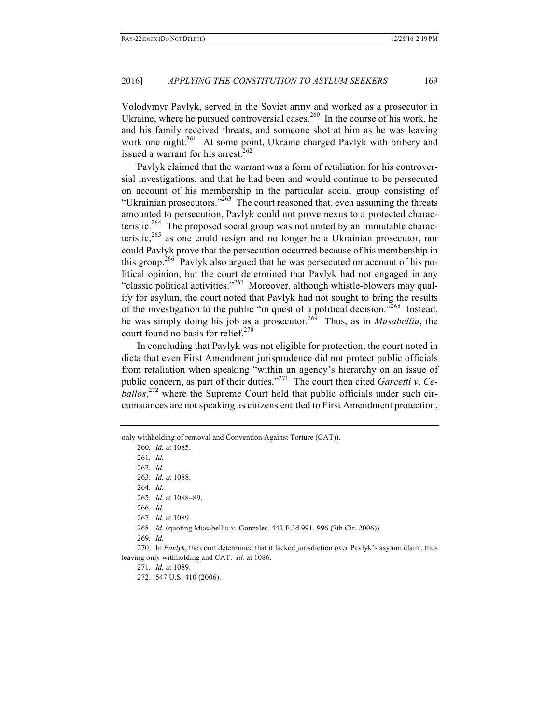Volodymyr Pavlyk, served in the Soviet army and worked as a prosecutor in Ukraine, where he pursued controversial cases.<sup>260</sup> In the course of his work, he and his family received threats, and someone shot at him as he was leaving work one night.<sup>261</sup> At some point, Ukraine charged Pavlyk with bribery and issued a warrant for his arrest.<sup>262</sup>

Pavlyk claimed that the warrant was a form of retaliation for his controversial investigations, and that he had been and would continue to be persecuted on account of his membership in the particular social group consisting of "Ukrainian prosecutors."<sup>263</sup> The court reasoned that, even assuming the threats amounted to persecution, Pavlyk could not prove nexus to a protected characteristic.<sup>264</sup> The proposed social group was not united by an immutable characteristic,<sup>265</sup> as one could resign and no longer be a Ukrainian prosecutor, nor could Pavlyk prove that the persecution occurred because of his membership in this group.<sup>266</sup> Pavlyk also argued that he was persecuted on account of his political opinion, but the court determined that Pavlyk had not engaged in any "classic political activities."<sup>267</sup> Moreover, although whistle-blowers may qualify for asylum, the court noted that Pavlyk had not sought to bring the results of the investigation to the public "in quest of a political decision."<sup>268</sup> Instead, he was simply doing his job as a prosecutor.269 Thus, as in *Musabelliu*, the court found no basis for relief.<sup>270</sup>

In concluding that Pavlyk was not eligible for protection, the court noted in dicta that even First Amendment jurisprudence did not protect public officials from retaliation when speaking "within an agency's hierarchy on an issue of public concern, as part of their duties."<sup>271</sup> The court then cited *Garcetti v. Ceballos*, <sup>272</sup> where the Supreme Court held that public officials under such circumstances are not speaking as citizens entitled to First Amendment protection,

only withholding of removal and Convention Against Torture (CAT)).

<sup>260</sup>*. Id.* at 1085.

<sup>261</sup>*. Id.*

<sup>262</sup>*. Id.*

<sup>263</sup>*. Id.* at 1088.

<sup>264</sup>*. Id.*

<sup>265</sup>*. Id.* at 1088–89.

<sup>266</sup>*. Id.*

<sup>267</sup>*. Id.* at 1089.

<sup>268</sup>*. Id.* (quoting Musabelliu v. Gonzales*,* 442 F.3d 991, 996 (7th Cir. 2006)).

<sup>269</sup>*. Id.*

<sup>270.</sup> In *Pavlyk*, the court determined that it lacked jurisdiction over Pavlyk's asylum claim, thus leaving only withholding and CAT. *Id.* at 1086.

<sup>271</sup>*. Id.* at 1089.

<sup>272.</sup> 547 U.S. 410 (2006).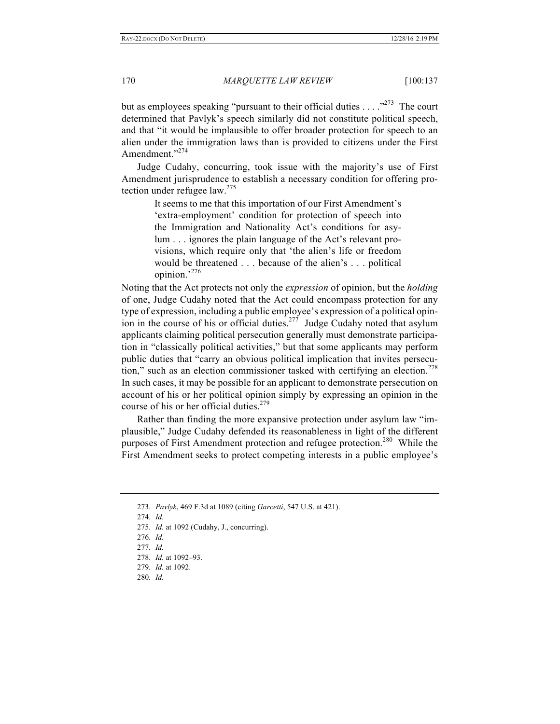but as employees speaking "pursuant to their official duties  $\dots$ ."<sup>273</sup> The court determined that Pavlyk's speech similarly did not constitute political speech, and that "it would be implausible to offer broader protection for speech to an alien under the immigration laws than is provided to citizens under the First Amendment."<sup>274</sup>

Judge Cudahy, concurring, took issue with the majority's use of First Amendment jurisprudence to establish a necessary condition for offering protection under refugee  $law.<sup>275</sup>$ 

It seems to me that this importation of our First Amendment's 'extra-employment' condition for protection of speech into the Immigration and Nationality Act's conditions for asylum . . . ignores the plain language of the Act's relevant provisions, which require only that 'the alien's life or freedom would be threatened . . . because of the alien's . . . political opinion.' 276

Noting that the Act protects not only the *expression* of opinion, but the *holding* of one, Judge Cudahy noted that the Act could encompass protection for any type of expression, including a public employee's expression of a political opinion in the course of his or official duties.<sup>277</sup> Judge Cudahy noted that asylum applicants claiming political persecution generally must demonstrate participation in "classically political activities," but that some applicants may perform public duties that "carry an obvious political implication that invites persecution," such as an election commissioner tasked with certifying an election.<sup>278</sup> In such cases, it may be possible for an applicant to demonstrate persecution on account of his or her political opinion simply by expressing an opinion in the course of his or her official duties.<sup>279</sup>

Rather than finding the more expansive protection under asylum law "implausible," Judge Cudahy defended its reasonableness in light of the different purposes of First Amendment protection and refugee protection.<sup>280</sup> While the First Amendment seeks to protect competing interests in a public employee's

274*. Id.*

- 275*. Id.* at 1092 (Cudahy, J., concurring).
- 276*. Id.*
- 277*. Id.*
- 278*. Id.* at 1092–93.
- 279*. Id.* at 1092.
- 280*. Id.*

<sup>273</sup>*. Pavlyk*, 469 F.3d at 1089 (citing *Garcetti*, 547 U.S. at 421).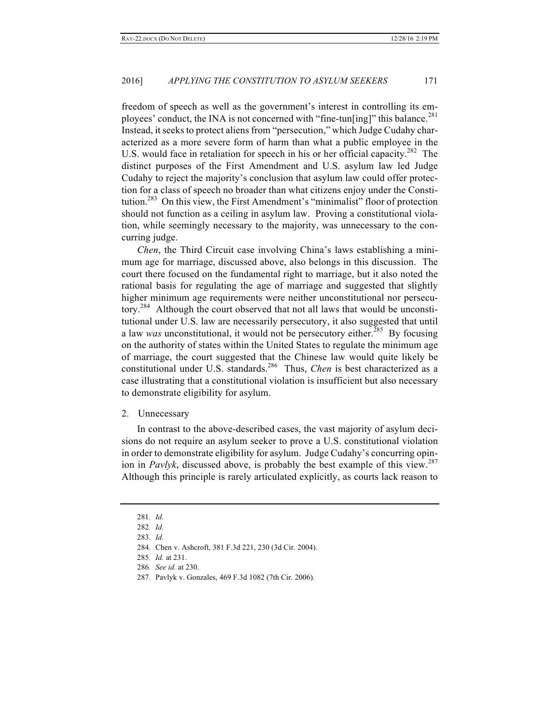freedom of speech as well as the government's interest in controlling its employees' conduct, the INA is not concerned with "fine-tun[ing]" this balance.<sup>281</sup> Instead, it seeks to protect aliens from "persecution," which Judge Cudahy characterized as a more severe form of harm than what a public employee in the U.S. would face in retaliation for speech in his or her official capacity.<sup>282</sup> The distinct purposes of the First Amendment and U.S. asylum law led Judge Cudahy to reject the majority's conclusion that asylum law could offer protection for a class of speech no broader than what citizens enjoy under the Constitution.283 On this view, the First Amendment's "minimalist" floor of protection should not function as a ceiling in asylum law. Proving a constitutional violation, while seemingly necessary to the majority, was unnecessary to the concurring judge.

*Chen*, the Third Circuit case involving China's laws establishing a minimum age for marriage, discussed above, also belongs in this discussion. The court there focused on the fundamental right to marriage, but it also noted the rational basis for regulating the age of marriage and suggested that slightly higher minimum age requirements were neither unconstitutional nor persecutory.<sup>284</sup> Although the court observed that not all laws that would be unconstitutional under U.S. law are necessarily persecutory, it also suggested that until a law *was* unconstitutional, it would not be persecutory either.<sup>285</sup> By focusing on the authority of states within the United States to regulate the minimum age of marriage, the court suggested that the Chinese law would quite likely be constitutional under U.S. standards.<sup>286</sup> Thus, *Chen* is best characterized as a case illustrating that a constitutional violation is insufficient but also necessary to demonstrate eligibility for asylum.

#### 2. Unnecessary

In contrast to the above-described cases, the vast majority of asylum decisions do not require an asylum seeker to prove a U.S. constitutional violation in order to demonstrate eligibility for asylum. Judge Cudahy's concurring opinion in *Pavlyk*, discussed above, is probably the best example of this view.<sup>287</sup> Although this principle is rarely articulated explicitly, as courts lack reason to

<sup>281</sup>*. Id.*

<sup>282</sup>*. Id.*

<sup>283</sup>*. Id.*

<sup>284.</sup> Chen v. Ashcroft, 381 F.3d 221, 230 (3d Cir. 2004).

<sup>285</sup>*. Id.* at 231.

<sup>286</sup>*. See id.* at 230.

<sup>287.</sup> Pavlyk v. Gonzales, 469 F.3d 1082 (7th Cir. 2006)*.*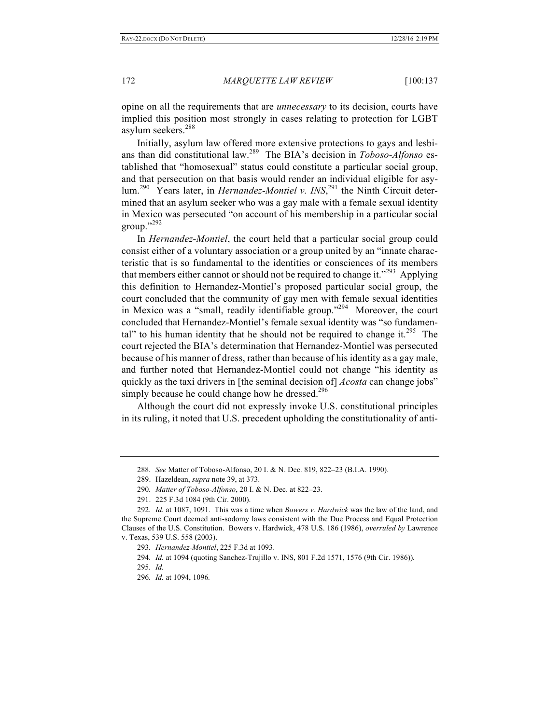opine on all the requirements that are *unnecessary* to its decision, courts have implied this position most strongly in cases relating to protection for LGBT asylum seekers.<sup>288</sup>

Initially, asylum law offered more extensive protections to gays and lesbians than did constitutional law.<sup>289</sup> The BIA's decision in *Toboso-Alfonso* established that "homosexual" status could constitute a particular social group, and that persecution on that basis would render an individual eligible for asylum.<sup>290</sup> Years later, in *Hernandez-Montiel v. INS*,<sup>291</sup> the Ninth Circuit determined that an asylum seeker who was a gay male with a female sexual identity in Mexico was persecuted "on account of his membership in a particular social group." 292

In *Hernandez-Montiel*, the court held that a particular social group could consist either of a voluntary association or a group united by an "innate characteristic that is so fundamental to the identities or consciences of its members that members either cannot or should not be required to change it."<sup>293</sup> Applying this definition to Hernandez-Montiel's proposed particular social group, the court concluded that the community of gay men with female sexual identities in Mexico was a "small, readily identifiable group."<sup>294</sup> Moreover, the court concluded that Hernandez-Montiel's female sexual identity was "so fundamental" to his human identity that he should not be required to change it.<sup>295</sup> The court rejected the BIA's determination that Hernandez-Montiel was persecuted because of his manner of dress, rather than because of his identity as a gay male, and further noted that Hernandez-Montiel could not change "his identity as quickly as the taxi drivers in [the seminal decision of] *Acosta* can change jobs" simply because he could change how he dressed. $296$ 

Although the court did not expressly invoke U.S. constitutional principles in its ruling, it noted that U.S. precedent upholding the constitutionality of anti-

<sup>288</sup>*. See* Matter of Toboso-Alfonso, 20 I. & N. Dec. 819, 822–23 (B.I.A. 1990).

<sup>289.</sup> Hazeldean, *supra* note 39, at 373.

<sup>290</sup>*. Matter of Toboso-Alfonso*, 20 I. & N. Dec. at 822–23.

<sup>291.</sup> 225 F.3d 1084 (9th Cir. 2000).

<sup>292</sup>*. Id.* at 1087, 1091. This was a time when *Bowers v. Hardwick* was the law of the land, and the Supreme Court deemed anti-sodomy laws consistent with the Due Process and Equal Protection Clauses of the U.S. Constitution. Bowers v. Hardwick, 478 U.S. 186 (1986), *overruled by* Lawrence v. Texas, 539 U.S. 558 (2003).

<sup>293</sup>*. Hernandez-Montiel*, 225 F.3d at 1093.

<sup>294</sup>*. Id.* at 1094 (quoting Sanchez-Trujillo v. INS, 801 F.2d 1571, 1576 (9th Cir. 1986))*.*

<sup>295</sup>*. Id.*

<sup>296</sup>*. Id.* at 1094, 1096*.*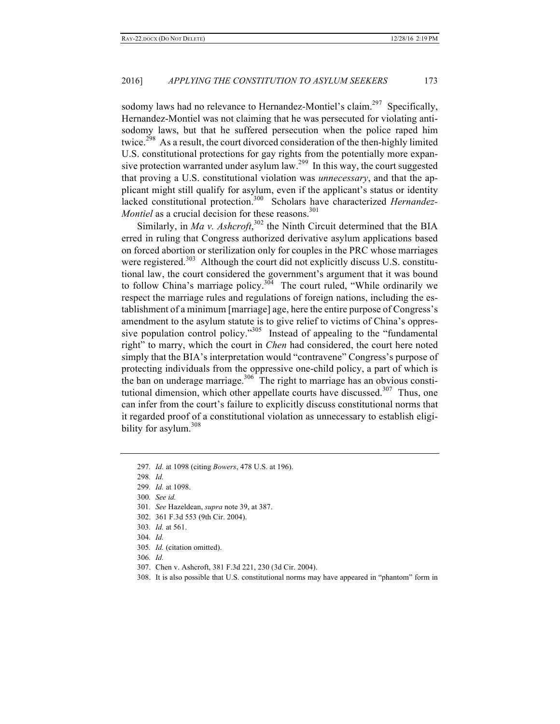sodomy laws had no relevance to Hernandez-Montiel's claim.<sup>297</sup> Specifically, Hernandez-Montiel was not claiming that he was persecuted for violating antisodomy laws, but that he suffered persecution when the police raped him twice.<sup>298</sup> As a result, the court divorced consideration of the then-highly limited U.S. constitutional protections for gay rights from the potentially more expansive protection warranted under asylum law.<sup>299</sup> In this way, the court suggested that proving a U.S. constitutional violation was *unnecessary*, and that the applicant might still qualify for asylum, even if the applicant's status or identity lacked constitutional protection. 300 Scholars have characterized *Hernandez-Montiel* as a crucial decision for these reasons.<sup>301</sup>

Similarly, in *Ma v. Ashcroft*,<sup>302</sup> the Ninth Circuit determined that the BIA erred in ruling that Congress authorized derivative asylum applications based on forced abortion or sterilization only for couples in the PRC whose marriages were registered.<sup>303</sup> Although the court did not explicitly discuss U.S. constitutional law, the court considered the government's argument that it was bound to follow China's marriage policy.<sup>304</sup> The court ruled, "While ordinarily we respect the marriage rules and regulations of foreign nations, including the establishment of a minimum [marriage] age, here the entire purpose of Congress's amendment to the asylum statute is to give relief to victims of China's oppressive population control policy."<sup>305</sup> Instead of appealing to the "fundamental right" to marry, which the court in *Chen* had considered, the court here noted simply that the BIA's interpretation would "contravene" Congress's purpose of protecting individuals from the oppressive one-child policy, a part of which is the ban on underage marriage. $306$  The right to marriage has an obvious constitutional dimension, which other appellate courts have discussed.<sup>307</sup> Thus, one can infer from the court's failure to explicitly discuss constitutional norms that it regarded proof of a constitutional violation as unnecessary to establish eligibility for asylum. $308$ 

304*. Id.*

- 306*. Id.*
- 307. Chen v. Ashcroft, 381 F.3d 221, 230 (3d Cir. 2004).
- 308. It is also possible that U.S. constitutional norms may have appeared in "phantom" form in

<sup>297</sup>*. Id.* at 1098 (citing *Bowers*, 478 U.S. at 196).

<sup>298</sup>*. Id.*

<sup>299</sup>*. Id.* at 1098.

<sup>300</sup>*. See id.*

<sup>301</sup>*. See* Hazeldean, *supra* note 39, at 387.

<sup>302.</sup> 361 F.3d 553 (9th Cir. 2004).

<sup>303</sup>*. Id.* at 561.

<sup>305</sup>*. Id.* (citation omitted).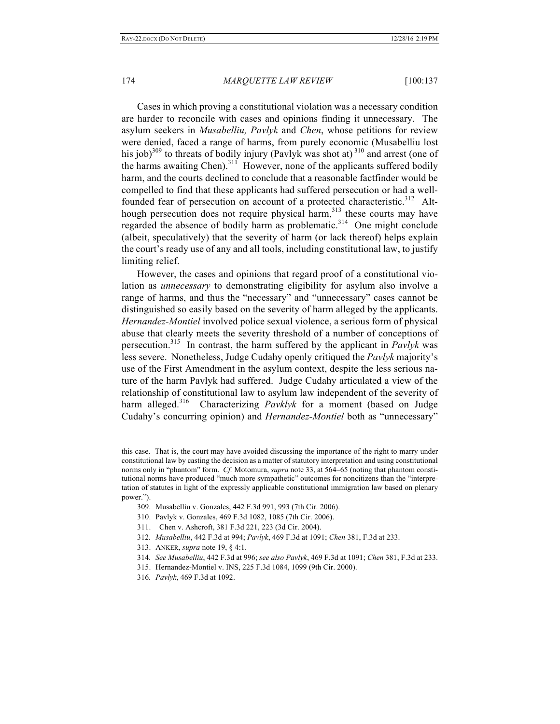Cases in which proving a constitutional violation was a necessary condition are harder to reconcile with cases and opinions finding it unnecessary. The asylum seekers in *Musabelliu, Pavlyk* and *Chen*, whose petitions for review were denied, faced a range of harms, from purely economic (Musabelliu lost his job)<sup>309</sup> to threats of bodily injury (Pavlyk was shot at)<sup>310</sup> and arrest (one of the harms awaiting Chen).<sup>311</sup> However, none of the applicants suffered bodily harm, and the courts declined to conclude that a reasonable factfinder would be compelled to find that these applicants had suffered persecution or had a wellfounded fear of persecution on account of a protected characteristic.<sup>312</sup> Although persecution does not require physical harm, $313$  these courts may have regarded the absence of bodily harm as problematic.<sup>314</sup> One might conclude (albeit, speculatively) that the severity of harm (or lack thereof) helps explain the court's ready use of any and all tools, including constitutional law, to justify limiting relief.

However, the cases and opinions that regard proof of a constitutional violation as *unnecessary* to demonstrating eligibility for asylum also involve a range of harms, and thus the "necessary" and "unnecessary" cases cannot be distinguished so easily based on the severity of harm alleged by the applicants. *Hernandez-Montiel* involved police sexual violence, a serious form of physical abuse that clearly meets the severity threshold of a number of conceptions of persecution.<sup>315</sup> In contrast, the harm suffered by the applicant in *Pavlyk* was less severe. Nonetheless, Judge Cudahy openly critiqued the *Pavlyk* majority's use of the First Amendment in the asylum context, despite the less serious nature of the harm Pavlyk had suffered. Judge Cudahy articulated a view of the relationship of constitutional law to asylum law independent of the severity of harm alleged.<sup>316</sup> Characterizing *Pavklyk* for a moment (based on Judge Cudahy's concurring opinion) and *Hernandez-Montiel* both as "unnecessary"

- 309. Musabelliu v. Gonzales, 442 F.3d 991, 993 (7th Cir. 2006).
- 310. Pavlyk v. Gonzales, 469 F.3d 1082, 1085 (7th Cir. 2006).
- 311. Chen v. Ashcroft, 381 F.3d 221, 223 (3d Cir. 2004).
- 312*. Musabelliu*, 442 F.3d at 994; *Pavlyk*, 469 F.3d at 1091; *Chen* 381, F.3d at 233.
- 313. ANKER, *supra* note 19, § 4:1.
- 314*. See Musabelliu*, 442 F.3d at 996; *see also Pavlyk*, 469 F.3d at 1091; *Chen* 381, F.3d at 233.
- 315. Hernandez-Montiel v. INS, 225 F.3d 1084, 1099 (9th Cir. 2000).
- 316*. Pavlyk*, 469 F.3d at 1092.

this case. That is, the court may have avoided discussing the importance of the right to marry under constitutional law by casting the decision as a matter of statutory interpretation and using constitutional norms only in "phantom" form. *Cf.* Motomura, *supra* note 33, at 564–65 (noting that phantom constitutional norms have produced "much more sympathetic" outcomes for noncitizens than the "interpretation of statutes in light of the expressly applicable constitutional immigration law based on plenary power.").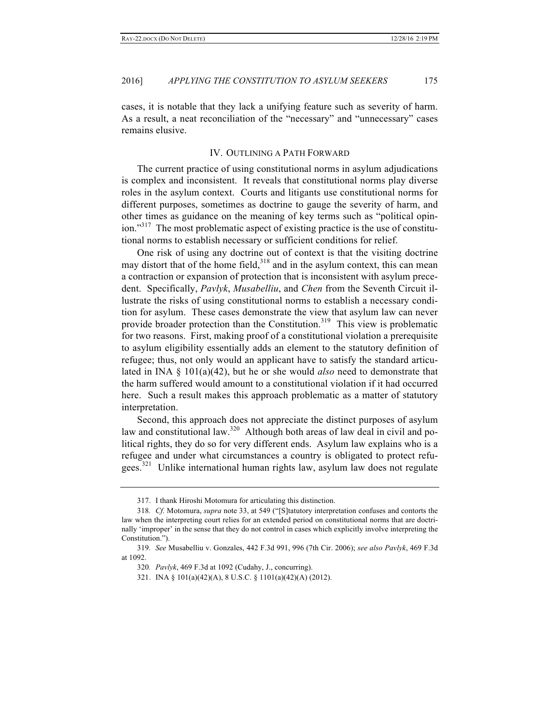cases, it is notable that they lack a unifying feature such as severity of harm. As a result, a neat reconciliation of the "necessary" and "unnecessary" cases remains elusive.

#### IV. OUTLINING A PATH FORWARD

The current practice of using constitutional norms in asylum adjudications is complex and inconsistent. It reveals that constitutional norms play diverse roles in the asylum context. Courts and litigants use constitutional norms for different purposes, sometimes as doctrine to gauge the severity of harm, and other times as guidance on the meaning of key terms such as "political opinion."<sup>317</sup> The most problematic aspect of existing practice is the use of constitutional norms to establish necessary or sufficient conditions for relief.

One risk of using any doctrine out of context is that the visiting doctrine may distort that of the home field,<sup>318</sup> and in the asylum context, this can mean a contraction or expansion of protection that is inconsistent with asylum precedent. Specifically, *Pavlyk*, *Musabelliu*, and *Chen* from the Seventh Circuit illustrate the risks of using constitutional norms to establish a necessary condition for asylum. These cases demonstrate the view that asylum law can never provide broader protection than the Constitution.<sup>319</sup> This view is problematic for two reasons. First, making proof of a constitutional violation a prerequisite to asylum eligibility essentially adds an element to the statutory definition of refugee; thus, not only would an applicant have to satisfy the standard articulated in INA § 101(a)(42), but he or she would *also* need to demonstrate that the harm suffered would amount to a constitutional violation if it had occurred here. Such a result makes this approach problematic as a matter of statutory interpretation.

Second, this approach does not appreciate the distinct purposes of asylum law and constitutional law.<sup>320</sup> Although both areas of law deal in civil and political rights, they do so for very different ends. Asylum law explains who is a refugee and under what circumstances a country is obligated to protect refugees.<sup>321</sup> Unlike international human rights law, asylum law does not regulate

<sup>317.</sup> I thank Hiroshi Motomura for articulating this distinction.

<sup>318</sup>*. Cf.* Motomura, *supra* note 33, at 549 ("[S]tatutory interpretation confuses and contorts the law when the interpreting court relies for an extended period on constitutional norms that are doctrinally 'improper' in the sense that they do not control in cases which explicitly involve interpreting the Constitution.").

<sup>319</sup>*. See* Musabelliu v. Gonzales, 442 F.3d 991, 996 (7th Cir. 2006); *see also Pavlyk*, 469 F.3d at 1092.

<sup>320</sup>*. Pavlyk*, 469 F.3d at 1092 (Cudahy, J., concurring).

<sup>321.</sup> INA § 101(a)(42)(A), 8 U.S.C. § 1101(a)(42)(A) (2012).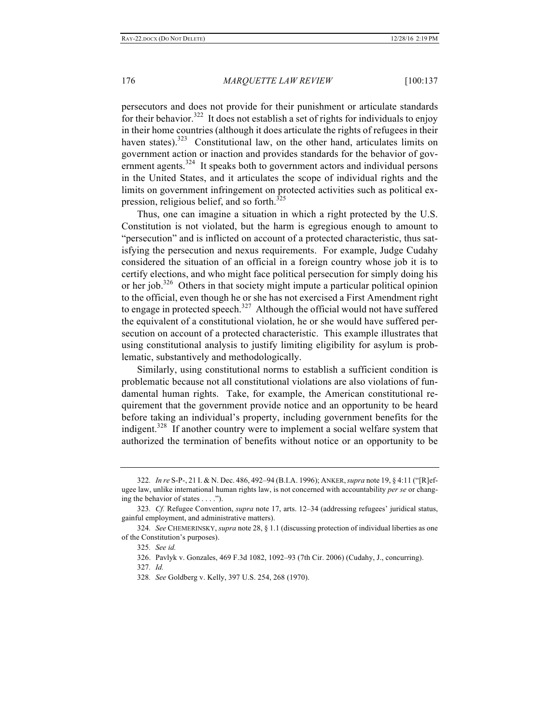persecutors and does not provide for their punishment or articulate standards for their behavior.<sup>322</sup> It does not establish a set of rights for individuals to enjoy in their home countries (although it does articulate the rights of refugees in their haven states).<sup>323</sup> Constitutional law, on the other hand, articulates limits on government action or inaction and provides standards for the behavior of government agents. $324$  It speaks both to government actors and individual persons in the United States, and it articulates the scope of individual rights and the limits on government infringement on protected activities such as political expression, religious belief, and so forth. $325$ 

Thus, one can imagine a situation in which a right protected by the U.S. Constitution is not violated, but the harm is egregious enough to amount to "persecution" and is inflicted on account of a protected characteristic, thus satisfying the persecution and nexus requirements. For example, Judge Cudahy considered the situation of an official in a foreign country whose job it is to certify elections, and who might face political persecution for simply doing his or her job. $326$  Others in that society might impute a particular political opinion to the official, even though he or she has not exercised a First Amendment right to engage in protected speech. $327$  Although the official would not have suffered the equivalent of a constitutional violation, he or she would have suffered persecution on account of a protected characteristic. This example illustrates that using constitutional analysis to justify limiting eligibility for asylum is problematic, substantively and methodologically.

Similarly, using constitutional norms to establish a sufficient condition is problematic because not all constitutional violations are also violations of fundamental human rights. Take, for example, the American constitutional requirement that the government provide notice and an opportunity to be heard before taking an individual's property, including government benefits for the indigent.<sup>328</sup> If another country were to implement a social welfare system that authorized the termination of benefits without notice or an opportunity to be

<sup>322</sup>*. In re* S-P-, 21 I. & N. Dec. 486, 492–94 (B.I.A. 1996); ANKER,*supra* note 19, § 4:11 ("[R]efugee law, unlike international human rights law, is not concerned with accountability *per se* or changing the behavior of states . . . .").

<sup>323</sup>*. Cf.* Refugee Convention, *supra* note 17, arts. 12–34 (addressing refugees' juridical status, gainful employment, and administrative matters).

<sup>324</sup>*. See* CHEMERINSKY, *supra* note 28, § 1.1 (discussing protection of individual liberties as one of the Constitution's purposes).

<sup>325</sup>*. See id.*

<sup>326.</sup> Pavlyk v. Gonzales, 469 F.3d 1082, 1092–93 (7th Cir. 2006) (Cudahy, J., concurring).

<sup>327</sup>*. Id.*

<sup>328</sup>*. See* Goldberg v. Kelly, 397 U.S. 254, 268 (1970).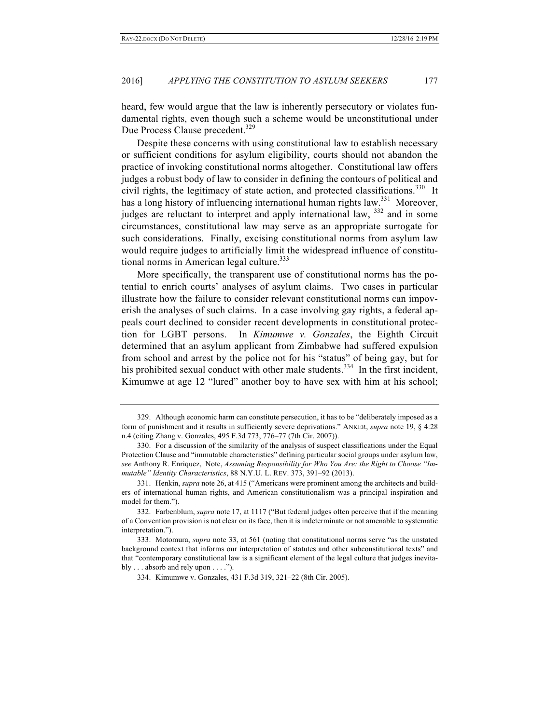heard, few would argue that the law is inherently persecutory or violates fundamental rights, even though such a scheme would be unconstitutional under Due Process Clause precedent.<sup>329</sup>

Despite these concerns with using constitutional law to establish necessary or sufficient conditions for asylum eligibility, courts should not abandon the practice of invoking constitutional norms altogether. Constitutional law offers judges a robust body of law to consider in defining the contours of political and civil rights, the legitimacy of state action, and protected classifications.<sup>330</sup> It has a long history of influencing international human rights law.<sup>331</sup> Moreover, judges are reluctant to interpret and apply international law,  $332$  and in some circumstances, constitutional law may serve as an appropriate surrogate for such considerations. Finally, excising constitutional norms from asylum law would require judges to artificially limit the widespread influence of constitutional norms in American legal culture. $333$ 

More specifically, the transparent use of constitutional norms has the potential to enrich courts' analyses of asylum claims. Two cases in particular illustrate how the failure to consider relevant constitutional norms can impoverish the analyses of such claims. In a case involving gay rights, a federal appeals court declined to consider recent developments in constitutional protection for LGBT persons. In *Kimumwe v. Gonzales*, the Eighth Circuit determined that an asylum applicant from Zimbabwe had suffered expulsion from school and arrest by the police not for his "status" of being gay, but for his prohibited sexual conduct with other male students.<sup>334</sup> In the first incident, Kimumwe at age 12 "lured" another boy to have sex with him at his school;

<sup>329.</sup> Although economic harm can constitute persecution, it has to be "deliberately imposed as a form of punishment and it results in sufficiently severe deprivations." ANKER, *supra* note 19, § 4:28 n.4 (citing Zhang v. Gonzales, 495 F.3d 773, 776–77 (7th Cir. 2007)).

<sup>330.</sup> For a discussion of the similarity of the analysis of suspect classifications under the Equal Protection Clause and "immutable characteristics" defining particular social groups under asylum law, *see* Anthony R. Enriquez, Note, *Assuming Responsibility for Who You Are: the Right to Choose "Immutable" Identity Characteristics*, 88 N.Y.U. L. REV. 373, 391–92 (2013).

<sup>331.</sup> Henkin, *supra* note 26, at 415 ("Americans were prominent among the architects and builders of international human rights, and American constitutionalism was a principal inspiration and model for them.").

<sup>332.</sup> Farbenblum, *supra* note 17, at 1117 ("But federal judges often perceive that if the meaning of a Convention provision is not clear on its face, then it is indeterminate or not amenable to systematic interpretation.").

<sup>333.</sup> Motomura, *supra* note 33, at 561 (noting that constitutional norms serve "as the unstated background context that informs our interpretation of statutes and other subconstitutional texts" and that "contemporary constitutional law is a significant element of the legal culture that judges inevitably  $\dots$  absorb and rely upon  $\dots$ .").

<sup>334.</sup> Kimumwe v. Gonzales, 431 F.3d 319, 321–22 (8th Cir. 2005).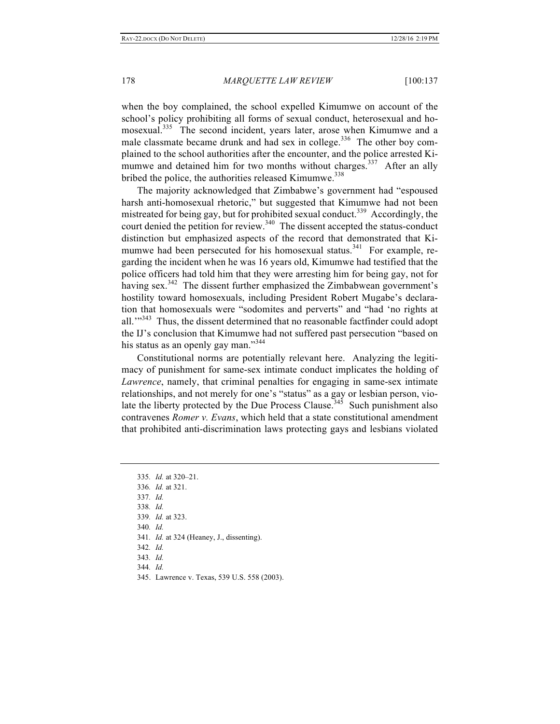when the boy complained, the school expelled Kimumwe on account of the school's policy prohibiting all forms of sexual conduct, heterosexual and homosexual.<sup>335</sup> The second incident, years later, arose when Kimumwe and a male classmate became drunk and had sex in college.<sup>336</sup> The other boy complained to the school authorities after the encounter, and the police arrested Kimumwe and detained him for two months without charges.<sup>337</sup> After an ally bribed the police, the authorities released Kimumwe.<sup>338</sup>

The majority acknowledged that Zimbabwe's government had "espoused harsh anti-homosexual rhetoric," but suggested that Kimumwe had not been mistreated for being gay, but for prohibited sexual conduct.<sup>339</sup> Accordingly, the court denied the petition for review.<sup>340</sup> The dissent accepted the status-conduct distinction but emphasized aspects of the record that demonstrated that Kimumwe had been persecuted for his homosexual status.<sup>341</sup> For example, regarding the incident when he was 16 years old, Kimumwe had testified that the police officers had told him that they were arresting him for being gay, not for having sex.<sup>342</sup> The dissent further emphasized the Zimbabwean government's hostility toward homosexuals, including President Robert Mugabe's declaration that homosexuals were "sodomites and perverts" and "had 'no rights at all. $\mathbb{R}^{3,343}$  Thus, the dissent determined that no reasonable factfinder could adopt the IJ's conclusion that Kimumwe had not suffered past persecution "based on his status as an openly gay man."<sup>344</sup>

Constitutional norms are potentially relevant here. Analyzing the legitimacy of punishment for same-sex intimate conduct implicates the holding of *Lawrence*, namely, that criminal penalties for engaging in same-sex intimate relationships, and not merely for one's "status" as a gay or lesbian person, violate the liberty protected by the Due Process Clause.<sup>345</sup> Such punishment also contravenes *Romer v. Evans*, which held that a state constitutional amendment that prohibited anti-discrimination laws protecting gays and lesbians violated

340*. Id.*

- 341*. Id.* at 324 (Heaney, J., dissenting).
- 342*. Id.*
- 343*. Id.*
- 344*. Id.*
- 345. Lawrence v. Texas, 539 U.S. 558 (2003).

<sup>335</sup>*. Id.* at 320–21.

<sup>336</sup>*. Id.* at 321.

<sup>337</sup>*. Id.*

<sup>338</sup>*. Id.*

<sup>339</sup>*. Id.* at 323.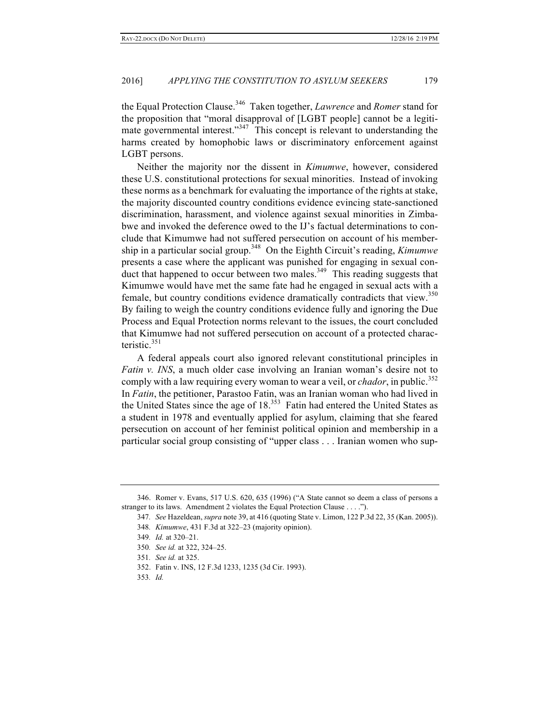the Equal Protection Clause.<sup>346</sup> Taken together, *Lawrence* and *Romer* stand for the proposition that "moral disapproval of [LGBT people] cannot be a legitimate governmental interest."<sup>347</sup> This concept is relevant to understanding the harms created by homophobic laws or discriminatory enforcement against LGBT persons.

Neither the majority nor the dissent in *Kimumwe*, however, considered these U.S. constitutional protections for sexual minorities. Instead of invoking these norms as a benchmark for evaluating the importance of the rights at stake, the majority discounted country conditions evidence evincing state-sanctioned discrimination, harassment, and violence against sexual minorities in Zimbabwe and invoked the deference owed to the IJ's factual determinations to conclude that Kimumwe had not suffered persecution on account of his membership in a particular social group.348 On the Eighth Circuit's reading, *Kimumwe* presents a case where the applicant was punished for engaging in sexual conduct that happened to occur between two males.<sup>349</sup> This reading suggests that Kimumwe would have met the same fate had he engaged in sexual acts with a female, but country conditions evidence dramatically contradicts that view.<sup>350</sup> By failing to weigh the country conditions evidence fully and ignoring the Due Process and Equal Protection norms relevant to the issues, the court concluded that Kimumwe had not suffered persecution on account of a protected characteristic. $351$ 

A federal appeals court also ignored relevant constitutional principles in *Fatin v. INS*, a much older case involving an Iranian woman's desire not to comply with a law requiring every woman to wear a veil, or *chador*, in public.<sup>352</sup> In *Fatin*, the petitioner, Parastoo Fatin, was an Iranian woman who had lived in the United States since the age of  $18<sup>353</sup>$  Fatin had entered the United States as a student in 1978 and eventually applied for asylum, claiming that she feared persecution on account of her feminist political opinion and membership in a particular social group consisting of "upper class . . . Iranian women who sup-

- 352. Fatin v. INS, 12 F.3d 1233, 1235 (3d Cir. 1993).
- 353*. Id.*

<sup>346.</sup> Romer v. Evans, 517 U.S. 620, 635 (1996) ("A State cannot so deem a class of persons a stranger to its laws. Amendment 2 violates the Equal Protection Clause . . . .").

<sup>347</sup>*. See* Hazeldean, *supra* note 39, at 416 (quoting State v. Limon, 122 P.3d 22, 35 (Kan. 2005)). 348*. Kimumwe*, 431 F.3d at 322–23 (majority opinion).

<sup>349</sup>*. Id.* at 320–21.

<sup>350</sup>*. See id.* at 322, 324–25.

<sup>351</sup>*. See id.* at 325.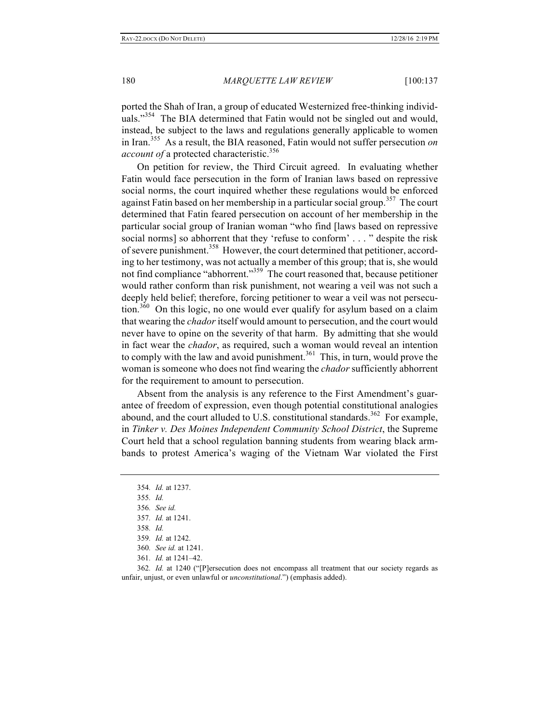ported the Shah of Iran, a group of educated Westernized free-thinking individuals."<sup>354</sup> The BIA determined that Fatin would not be singled out and would, instead, be subject to the laws and regulations generally applicable to women in Iran.355 As a result, the BIA reasoned, Fatin would not suffer persecution *on account of* a protected characteristic.<sup>356</sup>

On petition for review, the Third Circuit agreed. In evaluating whether Fatin would face persecution in the form of Iranian laws based on repressive social norms, the court inquired whether these regulations would be enforced against Fatin based on her membership in a particular social group.<sup>357</sup> The court determined that Fatin feared persecution on account of her membership in the particular social group of Iranian woman "who find [laws based on repressive social norms] so abhorrent that they 'refuse to conform' . . . " despite the risk of severe punishment.<sup>358</sup> However, the court determined that petitioner, according to her testimony, was not actually a member of this group; that is, she would not find compliance "abhorrent."<sup>359</sup> The court reasoned that, because petitioner would rather conform than risk punishment, not wearing a veil was not such a deeply held belief; therefore, forcing petitioner to wear a veil was not persecution.<sup>360</sup> On this logic, no one would ever qualify for asylum based on a claim that wearing the *chador* itself would amount to persecution, and the court would never have to opine on the severity of that harm. By admitting that she would in fact wear the *chador*, as required, such a woman would reveal an intention to comply with the law and avoid punishment.<sup>361</sup> This, in turn, would prove the woman is someone who does not find wearing the *chador* sufficiently abhorrent for the requirement to amount to persecution.

Absent from the analysis is any reference to the First Amendment's guarantee of freedom of expression, even though potential constitutional analogies abound, and the court alluded to U.S. constitutional standards.<sup>362</sup> For example, in *Tinker v. Des Moines Independent Community School District*, the Supreme Court held that a school regulation banning students from wearing black armbands to protest America's waging of the Vietnam War violated the First

<sup>354</sup>*. Id.* at 1237.

<sup>355</sup>*. Id.*

<sup>356</sup>*. See id.*

<sup>357</sup>*. Id.* at 1241.

<sup>358</sup>*. Id.*

<sup>359</sup>*. Id.* at 1242.

<sup>360</sup>*. See id.* at 1241.

<sup>361</sup>*. Id.* at 1241–42.

<sup>362</sup>*. Id.* at 1240 ("[P]ersecution does not encompass all treatment that our society regards as unfair, unjust, or even unlawful or *unconstitutional*.") (emphasis added).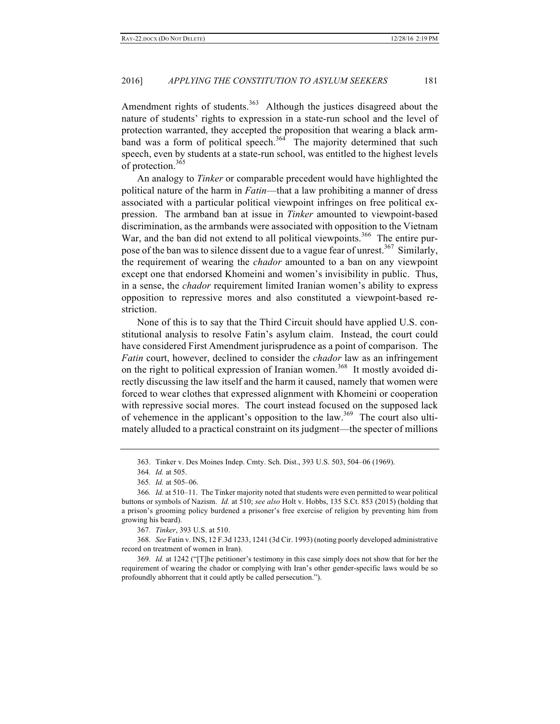Amendment rights of students.<sup>363</sup> Although the justices disagreed about the nature of students' rights to expression in a state-run school and the level of protection warranted, they accepted the proposition that wearing a black armband was a form of political speech.<sup>364</sup> The majority determined that such speech, even by students at a state-run school, was entitled to the highest levels of protection.<sup>365</sup>

An analogy to *Tinker* or comparable precedent would have highlighted the political nature of the harm in *Fatin*—that a law prohibiting a manner of dress associated with a particular political viewpoint infringes on free political expression. The armband ban at issue in *Tinker* amounted to viewpoint-based discrimination, as the armbands were associated with opposition to the Vietnam War, and the ban did not extend to all political viewpoints.<sup>366</sup> The entire purpose of the ban was to silence dissent due to a vague fear of unrest.<sup>367</sup> Similarly, the requirement of wearing the *chador* amounted to a ban on any viewpoint except one that endorsed Khomeini and women's invisibility in public. Thus, in a sense, the *chador* requirement limited Iranian women's ability to express opposition to repressive mores and also constituted a viewpoint-based restriction.

None of this is to say that the Third Circuit should have applied U.S. constitutional analysis to resolve Fatin's asylum claim. Instead, the court could have considered First Amendment jurisprudence as a point of comparison. The *Fatin* court, however, declined to consider the *chador* law as an infringement on the right to political expression of Iranian women.<sup>368</sup> It mostly avoided directly discussing the law itself and the harm it caused, namely that women were forced to wear clothes that expressed alignment with Khomeini or cooperation with repressive social mores. The court instead focused on the supposed lack of vehemence in the applicant's opposition to the  $law$ <sup>369</sup>. The court also ultimately alluded to a practical constraint on its judgment—the specter of millions

<sup>363.</sup> Tinker v. Des Moines Indep. Cmty. Sch. Dist., 393 U.S. 503, 504–06 (1969).

<sup>364</sup>*. Id.* at 505.

<sup>365</sup>*. Id.* at 505–06.

<sup>366</sup>*. Id.* at 510–11. The Tinker majority noted that students were even permitted to wear political buttons or symbols of Nazism. *Id.* at 510; *see also* Holt v. Hobbs, 135 S.Ct. 853 (2015) (holding that a prison's grooming policy burdened a prisoner's free exercise of religion by preventing him from growing his beard).

<sup>367</sup>*. Tinker*, 393 U.S. at 510.

<sup>368</sup>*. See* Fatin v. INS, 12 F.3d 1233, 1241 (3d Cir. 1993) (noting poorly developed administrative record on treatment of women in Iran).

<sup>369</sup>*. Id.* at 1242 ("[T]he petitioner's testimony in this case simply does not show that for her the requirement of wearing the chador or complying with Iran's other gender-specific laws would be so profoundly abhorrent that it could aptly be called persecution.").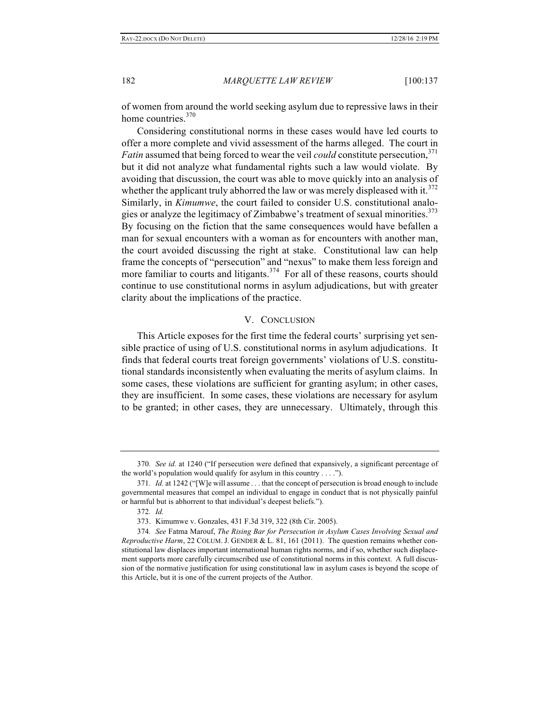of women from around the world seeking asylum due to repressive laws in their home countries.<sup>370</sup>

Considering constitutional norms in these cases would have led courts to offer a more complete and vivid assessment of the harms alleged. The court in *Fatin* assumed that being forced to wear the veil *could* constitute persecution,<sup>371</sup> but it did not analyze what fundamental rights such a law would violate. By avoiding that discussion, the court was able to move quickly into an analysis of whether the applicant truly abhorred the law or was merely displeased with it. $372$ Similarly, in *Kimumwe*, the court failed to consider U.S. constitutional analogies or analyze the legitimacy of Zimbabwe's treatment of sexual minorities. $373$ By focusing on the fiction that the same consequences would have befallen a man for sexual encounters with a woman as for encounters with another man, the court avoided discussing the right at stake. Constitutional law can help frame the concepts of "persecution" and "nexus" to make them less foreign and more familiar to courts and litigants.<sup>374</sup> For all of these reasons, courts should continue to use constitutional norms in asylum adjudications, but with greater clarity about the implications of the practice.

#### V. CONCLUSION

This Article exposes for the first time the federal courts' surprising yet sensible practice of using of U.S. constitutional norms in asylum adjudications. It finds that federal courts treat foreign governments' violations of U.S. constitutional standards inconsistently when evaluating the merits of asylum claims. In some cases, these violations are sufficient for granting asylum; in other cases, they are insufficient. In some cases, these violations are necessary for asylum to be granted; in other cases, they are unnecessary. Ultimately, through this

<sup>370</sup>*. See id.* at 1240 ("If persecution were defined that expansively, a significant percentage of the world's population would qualify for asylum in this country . . . .").

<sup>371</sup>*. Id.* at 1242 ("[W]e will assume . . . that the concept of persecution is broad enough to include governmental measures that compel an individual to engage in conduct that is not physically painful or harmful but is abhorrent to that individual's deepest beliefs.").

<sup>372</sup>*. Id.*

<sup>373.</sup> Kimumwe v. Gonzales, 431 F.3d 319, 322 (8th Cir. 2005).

<sup>374</sup>*. See* Fatma Marouf, *The Rising Bar for Persecution in Asylum Cases Involving Sexual and Reproductive Harm*, 22 COLUM. J. GENDER & L. 81, 161 (2011). The question remains whether constitutional law displaces important international human rights norms, and if so, whether such displacement supports more carefully circumscribed use of constitutional norms in this context. A full discussion of the normative justification for using constitutional law in asylum cases is beyond the scope of this Article, but it is one of the current projects of the Author.